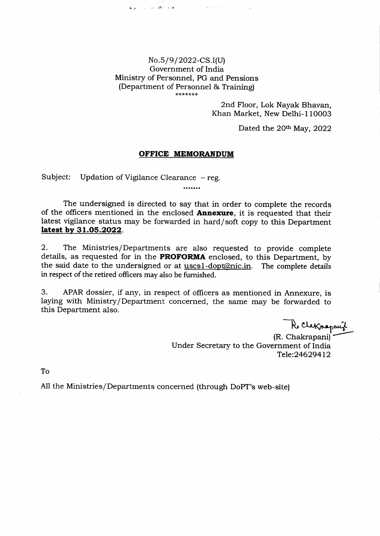## No.5/9/2022-CS.I(U) Government of India Ministry of Personnel, PG and Pensions (Department of Personnel & Training) \*\*\*\*\*\*\*

asses a constant spec

 $\mathcal{F}^{\text{in}}$  , we can be

 $\sim 10^{-11}$  k

2nd Floor, Lok Nayak Bhavan, Khan Market, New Delhi-l10003

Dated the 20<sup>th</sup> May, 2022

## OFFICE MEMORANDUM

Subject: Updation of Vigilance Clearance - reg.

The undersigned is directed to say that in order to complete the records of the officers mentioned in the enclosed **Annexure**, it is requested that their latest vigilance status may be forwarded in hard/soft copy to this Department latest by 31.05.2022.

.......

2. The Ministries/Departments are also requested to provide complete details, as requested for in the PROFORMA enclosed, to this Department, by the said date to the undersigned or at uscs1-dopt@nic.in. The complete details in respect of the retired officers may also be furnished.

3. APAR dossier, if any, in respect of officers as mentioned in Annexure, is laying with Ministry/Department concerned, the same may be forwarded to this Department also.

Re Claknapauil

(R. Chakrapani) Under Secretary to the Government of India Tele:24629412

To

All the Ministries/Departments concerned (through DoPT's web-site)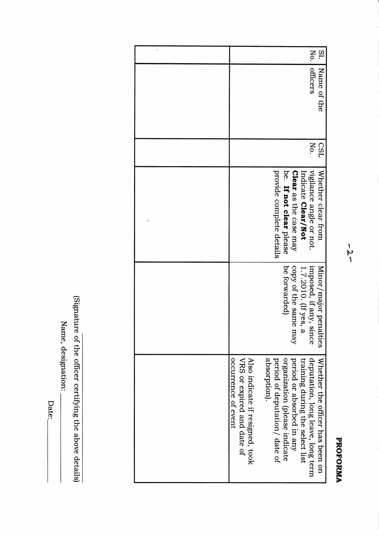Name, designation:

Date:\_

(Signature of the officer certifying the above details)

Ŷ,

 $-2-$ 

PROFORMA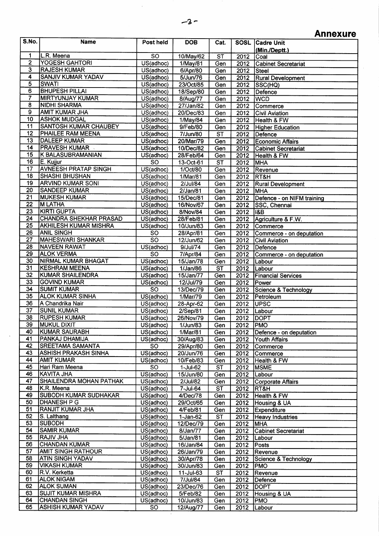## **Annexure**

| 1<br>L.R. Meena<br>$\overline{SO}$<br>$\overline{\text{ST}}$<br>10/May/62<br>2012<br>Coal<br>$\overline{2}$<br><b>YOGESH GAHTORI</b><br>US(adhoc)<br>1/May/81<br>Gen<br>2012<br><b>Cabinet Secretariat</b><br>$\overline{\mathbf{3}}$<br><b>RAJESH KUMAR</b><br>US(adhoc)<br>6/Apr/80<br>Gen<br>2012<br>Steel<br>4<br>SANJIV KUMAR YADAV<br>US(adhoc)<br>5/Jun/76<br>Gen<br>2012<br><b>Rural Development</b><br>5<br>SWATI<br>US(adhoc)<br>Gen<br>23/Oct/85<br>2012<br> SSC(HQ) <br>$\overline{6}$<br><b>BHUPESH PILLAI</b><br>US(adhoc)<br>18/Sep/80<br>Gen<br>2012<br>Defence<br><b>MIRTYUNJAY KUMAR</b><br>$\overline{US}$ (adhoc)<br>Gen<br>8/Aug/77<br>2012<br><b>WCD</b><br>$\overline{8}$<br><b>NIDHI SHARMA</b><br>US(adhoc)<br>27/Jan/82<br>Gen<br>2012<br>Commerce<br>$\overline{9}$<br><b>AMIT KUMAR JHA</b><br>US(adhoc)<br>20/Dec/83<br>Gen<br>2012<br><b>Civil Aviation</b><br>10<br><b>ASHOK MUDGAL</b><br>US(adhoc)<br>Gen<br>2012<br>1/May/84<br>Health & FW<br>11<br><b>SANTOSH KUMAR CHAUBEY</b><br>US(adhoc)<br>9/Feb/80<br>2012<br>Gen<br><b>Higher Education</b><br>$\overline{12}$<br><b>PHAILEE RAM MEENA</b><br>7/Jun/80<br>$\overline{\text{ST}}$<br>US(adhoc)<br>2012<br>Defence<br>$\overline{13}$<br><b>DALEEP KUMAR</b><br>US(adhoc)<br>20/Mar/79<br>Gen<br>2012<br><b>Economic Affairs</b><br><b>PRAVESH KUMAR</b><br>14<br>US(adhoc)<br>10/Dec/82<br>Gen<br>2012<br><b>Cabinet Secretariat</b><br>15<br>K BALASUBRAMANIAN<br>US(adhoc)<br>28/Feb/64<br>2012<br>Gen<br>Health & FW<br>E. Kujjur<br>16<br>$\overline{SO}$<br>ST<br>13-Oct-61<br>2012<br>MHA<br><b>AVNEESH PRATAP SINGH</b><br>17<br>US(adhoc)<br>2012<br>1/Oct/80<br>Gen<br>Revenue<br>18<br><b>SHASHI BHUSHAN</b><br>US(adhoc)<br>2012<br>1/Mar/81<br>Gen<br>RT&H<br>19<br><b>ARVIND KUMAR SONI</b><br>US(adhoc)<br>Gen<br>2/Jul/84<br>2012<br><b>Rural Development</b><br>$\overline{20}$<br><b>SANDEEP KUMAR</b><br>$2/\text{Jan}/81$<br>US(adhoc)<br>Gen<br>2012<br><b>MHA</b><br>$\overline{21}$<br><b>MUKESH KUMAR</b><br>15/Dec/81<br>2012<br>US(adhoc)<br>Gen<br>Defence - on NIFM training<br>$\overline{22}$<br><b>M LATHA</b><br>US(adhoc)<br>16/Nov/67<br>$\overline{\mathsf{Gen}}$<br>2012<br>SSC, Chennai<br>$\overline{23}$<br><b>KIRTI GUPTA</b><br>US(adhoc)<br>8/Nov/84<br>Gen<br>2012<br> I&B<br>24<br><b>CHANDRA SHEKHAR PRASAD</b><br>2012<br>US(adhoc)<br>28/Feb/81<br>Agriculture & F.W.<br>Gen<br>25<br><b>AKHILESH KUMAR MISHRA</b><br>2012<br>US(adhoc)<br>10/Jun/83<br>Gen<br>Commerce<br>26<br><b>ANIL SINGH</b><br>Gen<br>2012<br>Commerce - on deputation<br><b>SO</b><br>28/Apr/81<br>$\overline{27}$<br>$\overline{SO}$<br><b>MAHESWARI SHANKAR</b><br>12/Jun/62<br>Gen<br>2012<br><b>Civil Aviation</b><br>$\overline{28}$<br><b>NAVEEN RAWAT</b><br>US(adhoc)<br>9/Jul/74<br>Gen<br>2012<br>Defence<br>$\overline{29}$<br><b>ALOK VERMA</b><br><b>SO</b><br>7/Apr/84<br>2012<br>Gen<br>Commerce - on deputation<br>30<br>NIRMAL KUMAR BHAGAT<br>US(adhoc)<br>15/Jan/78<br>2012<br>Gen<br>Labour <br>$\overline{31}$<br><b>KESHRAM MEENA</b><br>$\overline{\text{ST}}$<br>2012<br>US(adhoc)<br>$\overline{1/3}$ an/86<br>Labour<br>32<br>KUMAR SHAILENDRA<br>US(adhoc)<br>15/Jan/77<br>2012<br>Gen<br><b>Financial Services</b><br>$\overline{33}$<br><b>GOVIND KUMAR</b><br>US(adhoc)<br>12/Jul/79<br>Gen<br>2012<br>Power<br>$\overline{34}$<br>$\overline{SO}$<br><b>SUMIT KUMAR</b><br>13/Dec/79<br>Gen<br>2012<br>Science & Technology<br>35<br><b>ALOK KUMAR SINHA</b><br>US(adhoc)<br>1/Mar/79<br>Gen<br>2012<br>Petroleum<br>36<br>A Chandrika Nair<br>$\overline{US}$ (adhoc)<br>2012<br>UPSC<br>28-Apr-62<br>Gen<br>$\overline{37}$<br><b>SUNIL KUMAR</b><br>US(adhoc)<br>2/Sep/81<br>$20\overline{12}$<br>Gen<br>Labour <br>38<br><b>RUPESH KUMAR</b><br>US(adhoc)<br>26/Nov/79<br>2012<br>Gen<br><b>DOPT</b><br>39<br><b>MUKUL DIXIT</b><br>US(adhoc)<br>1/Jun/83<br>2012 PMO<br>Gen<br>40<br><b>KUMAR SAURABH</b><br>$\overline{US}$ (adhoc)<br>1/Mar/81<br>Gen<br>2012<br>Defence - on deputation<br>41<br>PANKAJ DHAMIJA<br>US(adhoc)<br>30/Aug/83<br>2012<br>Gen<br>Youth Affairs<br>42<br>SREETAMA SAMANTA<br>SO.<br>2012<br>29/Apr/80<br>Gen<br>Commerce<br>43<br><b>ASHISH PRAKASH SINHA</b><br>US(adhoc)<br>20/Jun/76<br>2012<br>Gen<br>Commerce<br>44<br>AMIT KUMAR<br>US(adhoc)<br>10/Feb/83<br>Gen<br>2012<br>Health & FW<br>45<br>Hari Ram Meena<br><b>SO</b><br>1-Jul-62<br><b>ST</b><br>2012<br><b>MSME</b><br>46<br>KAVITA JHA<br>US(adhoc)<br>15/Jun/80<br>Gen<br>2012<br>Labour<br>47<br>SHAILENDRA MOHAN PATHAK<br>US(adhoc)<br>Gen<br>2/Jul/82<br>2012<br><b>Corporate Affairs</b><br>48<br>K.R. Meena<br>US(adhoc)<br>ST<br>7-Jul-64<br>2012<br>RT&H<br>49<br>SUBODH KUMAR SUDHAKAR<br>US(adhoc)<br>4/Dec/78<br>Gen<br>2012<br><b>Health &amp; FW</b><br><b>DHANESH P G</b><br>50<br>US(adhoc)<br>29/Oct/65<br>Gen<br>2012<br>Housing & UA<br>51<br>RANJIT KUMAR JHA<br>US(adhoc)<br>$4$ /Feb/81<br>2012<br><b>Expenditure</b><br>Gen<br>52<br>S. Lalthang<br>US(adhoc)<br>$1-Jan-62$<br>ST<br>2012<br><b>Heavy Industries</b><br>53<br> SUBODH<br>US(adhoc)<br>12/Dec/79<br>Gen<br>2012<br> MHA<br>54<br>SAMIR KUMAR <br>US(adhoc)<br>8/Jan/77<br>Gen<br>2012<br><b>Cabinet Secretariat</b><br>55<br><b>RAJIV JHA</b><br>US(adhoc)<br>5/Jan/81<br>Gen<br>2012<br>Labour<br>56<br>CHANDAN KUMAR<br>US(adhoc)<br>16/Jan/84<br>2012<br>Gen<br>Posts<br>$\overline{57}$<br>AMIT SINGH RATHOUR<br>US(adhoc)<br>26/Jan/79<br>Gen<br>2012<br>Revenue<br>58<br><b>ATIN SINGH YADAV</b><br>US(adhoc)<br>30/Apr/78<br>2012<br><b>Science &amp; Technology</b><br>Gen<br>59<br><b>VIKASH KUMAR</b><br>US(adhoc)<br>30/Jun/83<br>2012<br>Gen<br><b>PMO</b><br>60<br>R.V. Kerketta<br>11-Jul-63<br><b>ST</b><br>US(adhoc)<br>2012<br>Revenue<br>61<br><b>ALOK NIGAM</b><br>US(adhoc)<br>7/Jul/84<br>Gen<br>2012<br>Defence<br>62<br><b>ALOK SUMAN</b><br>US(adhoc)<br>23/Dec/76<br>2012<br><b>DOPT</b><br>Gen<br>63<br><b>SUJIT KUMAR MISHRA</b><br>US(adhoc)<br>5/Feb/82<br>2012<br>Gen<br>Housing & UA<br>64<br><b>CHANDAN SINGH</b><br>US(adhoc)<br>10/Jun/83<br>2012<br>PMO<br>Gen<br>65<br><b>ASHISH KUMAR YADAV</b><br><b>SO</b><br>12/Aug/77<br>Gen<br>2012<br>Labour | S.No. | <b>Name</b> | Post held | <b>DOB</b> | Cat. | <b>SOSL</b> | <b>Cadre Unit</b> |
|---------------------------------------------------------------------------------------------------------------------------------------------------------------------------------------------------------------------------------------------------------------------------------------------------------------------------------------------------------------------------------------------------------------------------------------------------------------------------------------------------------------------------------------------------------------------------------------------------------------------------------------------------------------------------------------------------------------------------------------------------------------------------------------------------------------------------------------------------------------------------------------------------------------------------------------------------------------------------------------------------------------------------------------------------------------------------------------------------------------------------------------------------------------------------------------------------------------------------------------------------------------------------------------------------------------------------------------------------------------------------------------------------------------------------------------------------------------------------------------------------------------------------------------------------------------------------------------------------------------------------------------------------------------------------------------------------------------------------------------------------------------------------------------------------------------------------------------------------------------------------------------------------------------------------------------------------------------------------------------------------------------------------------------------------------------------------------------------------------------------------------------------------------------------------------------------------------------------------------------------------------------------------------------------------------------------------------------------------------------------------------------------------------------------------------------------------------------------------------------------------------------------------------------------------------------------------------------------------------------------------------------------------------------------------------------------------------------------------------------------------------------------------------------------------------------------------------------------------------------------------------------------------------------------------------------------------------------------------------------------------------------------------------------------------------------------------------------------------------------------------------------------------------------------------------------------------------------------------------------------------------------------------------------------------------------------------------------------------------------------------------------------------------------------------------------------------------------------------------------------------------------------------------------------------------------------------------------------------------------------------------------------------------------------------------------------------------------------------------------------------------------------------------------------------------------------------------------------------------------------------------------------------------------------------------------------------------------------------------------------------------------------------------------------------------------------------------------------------------------------------------------------------------------------------------------------------------------------------------------------------------------------------------------------------------------------------------------------------------------------------------------------------------------------------------------------------------------------------------------------------------------------------------------------------------------------------------------------------------------------------------------------------------------------------------------------------------------------------------------------------------------------------------------------------------------------------------------------------------------------------------------------------------------------------------------------------------------------------------------------------------------------------------------------------------------------------------------------------------------------------------------------------------------------------------------------------------------------------------------------------------------------------------------------------------------------------------------------------------------------------------------------------------------------------------------------------------------------------------------------------------------------------------------------------------------------------------------------------------------------------------------------------------------------------------------------------------------------------------------------------------------------------------------------------------------------------------------------------------------------------------------------------------------------------------------------------------------------------------------------------------------------------------------------------------------------------------------------------------------------------------------------------------------------------------------------------------------------------------|-------|-------------|-----------|------------|------|-------------|-------------------|
|                                                                                                                                                                                                                                                                                                                                                                                                                                                                                                                                                                                                                                                                                                                                                                                                                                                                                                                                                                                                                                                                                                                                                                                                                                                                                                                                                                                                                                                                                                                                                                                                                                                                                                                                                                                                                                                                                                                                                                                                                                                                                                                                                                                                                                                                                                                                                                                                                                                                                                                                                                                                                                                                                                                                                                                                                                                                                                                                                                                                                                                                                                                                                                                                                                                                                                                                                                                                                                                                                                                                                                                                                                                                                                                                                                                                                                                                                                                                                                                                                                                                                                                                                                                                                                                                                                                                                                                                                                                                                                                                                                                                                                                                                                                                                                                                                                                                                                                                                                                                                                                                                                                                                                                                                                                                                                                                                                                                                                                                                                                                                                                                                                                                                                                                                                                                                                                                                                                                                                                                                                                                                                                                                                                                                                 |       |             |           |            |      |             | (Min./Deptt.)     |
|                                                                                                                                                                                                                                                                                                                                                                                                                                                                                                                                                                                                                                                                                                                                                                                                                                                                                                                                                                                                                                                                                                                                                                                                                                                                                                                                                                                                                                                                                                                                                                                                                                                                                                                                                                                                                                                                                                                                                                                                                                                                                                                                                                                                                                                                                                                                                                                                                                                                                                                                                                                                                                                                                                                                                                                                                                                                                                                                                                                                                                                                                                                                                                                                                                                                                                                                                                                                                                                                                                                                                                                                                                                                                                                                                                                                                                                                                                                                                                                                                                                                                                                                                                                                                                                                                                                                                                                                                                                                                                                                                                                                                                                                                                                                                                                                                                                                                                                                                                                                                                                                                                                                                                                                                                                                                                                                                                                                                                                                                                                                                                                                                                                                                                                                                                                                                                                                                                                                                                                                                                                                                                                                                                                                                                 |       |             |           |            |      |             |                   |
|                                                                                                                                                                                                                                                                                                                                                                                                                                                                                                                                                                                                                                                                                                                                                                                                                                                                                                                                                                                                                                                                                                                                                                                                                                                                                                                                                                                                                                                                                                                                                                                                                                                                                                                                                                                                                                                                                                                                                                                                                                                                                                                                                                                                                                                                                                                                                                                                                                                                                                                                                                                                                                                                                                                                                                                                                                                                                                                                                                                                                                                                                                                                                                                                                                                                                                                                                                                                                                                                                                                                                                                                                                                                                                                                                                                                                                                                                                                                                                                                                                                                                                                                                                                                                                                                                                                                                                                                                                                                                                                                                                                                                                                                                                                                                                                                                                                                                                                                                                                                                                                                                                                                                                                                                                                                                                                                                                                                                                                                                                                                                                                                                                                                                                                                                                                                                                                                                                                                                                                                                                                                                                                                                                                                                                 |       |             |           |            |      |             |                   |
|                                                                                                                                                                                                                                                                                                                                                                                                                                                                                                                                                                                                                                                                                                                                                                                                                                                                                                                                                                                                                                                                                                                                                                                                                                                                                                                                                                                                                                                                                                                                                                                                                                                                                                                                                                                                                                                                                                                                                                                                                                                                                                                                                                                                                                                                                                                                                                                                                                                                                                                                                                                                                                                                                                                                                                                                                                                                                                                                                                                                                                                                                                                                                                                                                                                                                                                                                                                                                                                                                                                                                                                                                                                                                                                                                                                                                                                                                                                                                                                                                                                                                                                                                                                                                                                                                                                                                                                                                                                                                                                                                                                                                                                                                                                                                                                                                                                                                                                                                                                                                                                                                                                                                                                                                                                                                                                                                                                                                                                                                                                                                                                                                                                                                                                                                                                                                                                                                                                                                                                                                                                                                                                                                                                                                                 |       |             |           |            |      |             |                   |
|                                                                                                                                                                                                                                                                                                                                                                                                                                                                                                                                                                                                                                                                                                                                                                                                                                                                                                                                                                                                                                                                                                                                                                                                                                                                                                                                                                                                                                                                                                                                                                                                                                                                                                                                                                                                                                                                                                                                                                                                                                                                                                                                                                                                                                                                                                                                                                                                                                                                                                                                                                                                                                                                                                                                                                                                                                                                                                                                                                                                                                                                                                                                                                                                                                                                                                                                                                                                                                                                                                                                                                                                                                                                                                                                                                                                                                                                                                                                                                                                                                                                                                                                                                                                                                                                                                                                                                                                                                                                                                                                                                                                                                                                                                                                                                                                                                                                                                                                                                                                                                                                                                                                                                                                                                                                                                                                                                                                                                                                                                                                                                                                                                                                                                                                                                                                                                                                                                                                                                                                                                                                                                                                                                                                                                 |       |             |           |            |      |             |                   |
|                                                                                                                                                                                                                                                                                                                                                                                                                                                                                                                                                                                                                                                                                                                                                                                                                                                                                                                                                                                                                                                                                                                                                                                                                                                                                                                                                                                                                                                                                                                                                                                                                                                                                                                                                                                                                                                                                                                                                                                                                                                                                                                                                                                                                                                                                                                                                                                                                                                                                                                                                                                                                                                                                                                                                                                                                                                                                                                                                                                                                                                                                                                                                                                                                                                                                                                                                                                                                                                                                                                                                                                                                                                                                                                                                                                                                                                                                                                                                                                                                                                                                                                                                                                                                                                                                                                                                                                                                                                                                                                                                                                                                                                                                                                                                                                                                                                                                                                                                                                                                                                                                                                                                                                                                                                                                                                                                                                                                                                                                                                                                                                                                                                                                                                                                                                                                                                                                                                                                                                                                                                                                                                                                                                                                                 |       |             |           |            |      |             |                   |
|                                                                                                                                                                                                                                                                                                                                                                                                                                                                                                                                                                                                                                                                                                                                                                                                                                                                                                                                                                                                                                                                                                                                                                                                                                                                                                                                                                                                                                                                                                                                                                                                                                                                                                                                                                                                                                                                                                                                                                                                                                                                                                                                                                                                                                                                                                                                                                                                                                                                                                                                                                                                                                                                                                                                                                                                                                                                                                                                                                                                                                                                                                                                                                                                                                                                                                                                                                                                                                                                                                                                                                                                                                                                                                                                                                                                                                                                                                                                                                                                                                                                                                                                                                                                                                                                                                                                                                                                                                                                                                                                                                                                                                                                                                                                                                                                                                                                                                                                                                                                                                                                                                                                                                                                                                                                                                                                                                                                                                                                                                                                                                                                                                                                                                                                                                                                                                                                                                                                                                                                                                                                                                                                                                                                                                 |       |             |           |            |      |             |                   |
|                                                                                                                                                                                                                                                                                                                                                                                                                                                                                                                                                                                                                                                                                                                                                                                                                                                                                                                                                                                                                                                                                                                                                                                                                                                                                                                                                                                                                                                                                                                                                                                                                                                                                                                                                                                                                                                                                                                                                                                                                                                                                                                                                                                                                                                                                                                                                                                                                                                                                                                                                                                                                                                                                                                                                                                                                                                                                                                                                                                                                                                                                                                                                                                                                                                                                                                                                                                                                                                                                                                                                                                                                                                                                                                                                                                                                                                                                                                                                                                                                                                                                                                                                                                                                                                                                                                                                                                                                                                                                                                                                                                                                                                                                                                                                                                                                                                                                                                                                                                                                                                                                                                                                                                                                                                                                                                                                                                                                                                                                                                                                                                                                                                                                                                                                                                                                                                                                                                                                                                                                                                                                                                                                                                                                                 |       |             |           |            |      |             |                   |
|                                                                                                                                                                                                                                                                                                                                                                                                                                                                                                                                                                                                                                                                                                                                                                                                                                                                                                                                                                                                                                                                                                                                                                                                                                                                                                                                                                                                                                                                                                                                                                                                                                                                                                                                                                                                                                                                                                                                                                                                                                                                                                                                                                                                                                                                                                                                                                                                                                                                                                                                                                                                                                                                                                                                                                                                                                                                                                                                                                                                                                                                                                                                                                                                                                                                                                                                                                                                                                                                                                                                                                                                                                                                                                                                                                                                                                                                                                                                                                                                                                                                                                                                                                                                                                                                                                                                                                                                                                                                                                                                                                                                                                                                                                                                                                                                                                                                                                                                                                                                                                                                                                                                                                                                                                                                                                                                                                                                                                                                                                                                                                                                                                                                                                                                                                                                                                                                                                                                                                                                                                                                                                                                                                                                                                 |       |             |           |            |      |             |                   |
|                                                                                                                                                                                                                                                                                                                                                                                                                                                                                                                                                                                                                                                                                                                                                                                                                                                                                                                                                                                                                                                                                                                                                                                                                                                                                                                                                                                                                                                                                                                                                                                                                                                                                                                                                                                                                                                                                                                                                                                                                                                                                                                                                                                                                                                                                                                                                                                                                                                                                                                                                                                                                                                                                                                                                                                                                                                                                                                                                                                                                                                                                                                                                                                                                                                                                                                                                                                                                                                                                                                                                                                                                                                                                                                                                                                                                                                                                                                                                                                                                                                                                                                                                                                                                                                                                                                                                                                                                                                                                                                                                                                                                                                                                                                                                                                                                                                                                                                                                                                                                                                                                                                                                                                                                                                                                                                                                                                                                                                                                                                                                                                                                                                                                                                                                                                                                                                                                                                                                                                                                                                                                                                                                                                                                                 |       |             |           |            |      |             |                   |
|                                                                                                                                                                                                                                                                                                                                                                                                                                                                                                                                                                                                                                                                                                                                                                                                                                                                                                                                                                                                                                                                                                                                                                                                                                                                                                                                                                                                                                                                                                                                                                                                                                                                                                                                                                                                                                                                                                                                                                                                                                                                                                                                                                                                                                                                                                                                                                                                                                                                                                                                                                                                                                                                                                                                                                                                                                                                                                                                                                                                                                                                                                                                                                                                                                                                                                                                                                                                                                                                                                                                                                                                                                                                                                                                                                                                                                                                                                                                                                                                                                                                                                                                                                                                                                                                                                                                                                                                                                                                                                                                                                                                                                                                                                                                                                                                                                                                                                                                                                                                                                                                                                                                                                                                                                                                                                                                                                                                                                                                                                                                                                                                                                                                                                                                                                                                                                                                                                                                                                                                                                                                                                                                                                                                                                 |       |             |           |            |      |             |                   |
|                                                                                                                                                                                                                                                                                                                                                                                                                                                                                                                                                                                                                                                                                                                                                                                                                                                                                                                                                                                                                                                                                                                                                                                                                                                                                                                                                                                                                                                                                                                                                                                                                                                                                                                                                                                                                                                                                                                                                                                                                                                                                                                                                                                                                                                                                                                                                                                                                                                                                                                                                                                                                                                                                                                                                                                                                                                                                                                                                                                                                                                                                                                                                                                                                                                                                                                                                                                                                                                                                                                                                                                                                                                                                                                                                                                                                                                                                                                                                                                                                                                                                                                                                                                                                                                                                                                                                                                                                                                                                                                                                                                                                                                                                                                                                                                                                                                                                                                                                                                                                                                                                                                                                                                                                                                                                                                                                                                                                                                                                                                                                                                                                                                                                                                                                                                                                                                                                                                                                                                                                                                                                                                                                                                                                                 |       |             |           |            |      |             |                   |
|                                                                                                                                                                                                                                                                                                                                                                                                                                                                                                                                                                                                                                                                                                                                                                                                                                                                                                                                                                                                                                                                                                                                                                                                                                                                                                                                                                                                                                                                                                                                                                                                                                                                                                                                                                                                                                                                                                                                                                                                                                                                                                                                                                                                                                                                                                                                                                                                                                                                                                                                                                                                                                                                                                                                                                                                                                                                                                                                                                                                                                                                                                                                                                                                                                                                                                                                                                                                                                                                                                                                                                                                                                                                                                                                                                                                                                                                                                                                                                                                                                                                                                                                                                                                                                                                                                                                                                                                                                                                                                                                                                                                                                                                                                                                                                                                                                                                                                                                                                                                                                                                                                                                                                                                                                                                                                                                                                                                                                                                                                                                                                                                                                                                                                                                                                                                                                                                                                                                                                                                                                                                                                                                                                                                                                 |       |             |           |            |      |             |                   |
|                                                                                                                                                                                                                                                                                                                                                                                                                                                                                                                                                                                                                                                                                                                                                                                                                                                                                                                                                                                                                                                                                                                                                                                                                                                                                                                                                                                                                                                                                                                                                                                                                                                                                                                                                                                                                                                                                                                                                                                                                                                                                                                                                                                                                                                                                                                                                                                                                                                                                                                                                                                                                                                                                                                                                                                                                                                                                                                                                                                                                                                                                                                                                                                                                                                                                                                                                                                                                                                                                                                                                                                                                                                                                                                                                                                                                                                                                                                                                                                                                                                                                                                                                                                                                                                                                                                                                                                                                                                                                                                                                                                                                                                                                                                                                                                                                                                                                                                                                                                                                                                                                                                                                                                                                                                                                                                                                                                                                                                                                                                                                                                                                                                                                                                                                                                                                                                                                                                                                                                                                                                                                                                                                                                                                                 |       |             |           |            |      |             |                   |
|                                                                                                                                                                                                                                                                                                                                                                                                                                                                                                                                                                                                                                                                                                                                                                                                                                                                                                                                                                                                                                                                                                                                                                                                                                                                                                                                                                                                                                                                                                                                                                                                                                                                                                                                                                                                                                                                                                                                                                                                                                                                                                                                                                                                                                                                                                                                                                                                                                                                                                                                                                                                                                                                                                                                                                                                                                                                                                                                                                                                                                                                                                                                                                                                                                                                                                                                                                                                                                                                                                                                                                                                                                                                                                                                                                                                                                                                                                                                                                                                                                                                                                                                                                                                                                                                                                                                                                                                                                                                                                                                                                                                                                                                                                                                                                                                                                                                                                                                                                                                                                                                                                                                                                                                                                                                                                                                                                                                                                                                                                                                                                                                                                                                                                                                                                                                                                                                                                                                                                                                                                                                                                                                                                                                                                 |       |             |           |            |      |             |                   |
|                                                                                                                                                                                                                                                                                                                                                                                                                                                                                                                                                                                                                                                                                                                                                                                                                                                                                                                                                                                                                                                                                                                                                                                                                                                                                                                                                                                                                                                                                                                                                                                                                                                                                                                                                                                                                                                                                                                                                                                                                                                                                                                                                                                                                                                                                                                                                                                                                                                                                                                                                                                                                                                                                                                                                                                                                                                                                                                                                                                                                                                                                                                                                                                                                                                                                                                                                                                                                                                                                                                                                                                                                                                                                                                                                                                                                                                                                                                                                                                                                                                                                                                                                                                                                                                                                                                                                                                                                                                                                                                                                                                                                                                                                                                                                                                                                                                                                                                                                                                                                                                                                                                                                                                                                                                                                                                                                                                                                                                                                                                                                                                                                                                                                                                                                                                                                                                                                                                                                                                                                                                                                                                                                                                                                                 |       |             |           |            |      |             |                   |
|                                                                                                                                                                                                                                                                                                                                                                                                                                                                                                                                                                                                                                                                                                                                                                                                                                                                                                                                                                                                                                                                                                                                                                                                                                                                                                                                                                                                                                                                                                                                                                                                                                                                                                                                                                                                                                                                                                                                                                                                                                                                                                                                                                                                                                                                                                                                                                                                                                                                                                                                                                                                                                                                                                                                                                                                                                                                                                                                                                                                                                                                                                                                                                                                                                                                                                                                                                                                                                                                                                                                                                                                                                                                                                                                                                                                                                                                                                                                                                                                                                                                                                                                                                                                                                                                                                                                                                                                                                                                                                                                                                                                                                                                                                                                                                                                                                                                                                                                                                                                                                                                                                                                                                                                                                                                                                                                                                                                                                                                                                                                                                                                                                                                                                                                                                                                                                                                                                                                                                                                                                                                                                                                                                                                                                 |       |             |           |            |      |             |                   |
|                                                                                                                                                                                                                                                                                                                                                                                                                                                                                                                                                                                                                                                                                                                                                                                                                                                                                                                                                                                                                                                                                                                                                                                                                                                                                                                                                                                                                                                                                                                                                                                                                                                                                                                                                                                                                                                                                                                                                                                                                                                                                                                                                                                                                                                                                                                                                                                                                                                                                                                                                                                                                                                                                                                                                                                                                                                                                                                                                                                                                                                                                                                                                                                                                                                                                                                                                                                                                                                                                                                                                                                                                                                                                                                                                                                                                                                                                                                                                                                                                                                                                                                                                                                                                                                                                                                                                                                                                                                                                                                                                                                                                                                                                                                                                                                                                                                                                                                                                                                                                                                                                                                                                                                                                                                                                                                                                                                                                                                                                                                                                                                                                                                                                                                                                                                                                                                                                                                                                                                                                                                                                                                                                                                                                                 |       |             |           |            |      |             |                   |
|                                                                                                                                                                                                                                                                                                                                                                                                                                                                                                                                                                                                                                                                                                                                                                                                                                                                                                                                                                                                                                                                                                                                                                                                                                                                                                                                                                                                                                                                                                                                                                                                                                                                                                                                                                                                                                                                                                                                                                                                                                                                                                                                                                                                                                                                                                                                                                                                                                                                                                                                                                                                                                                                                                                                                                                                                                                                                                                                                                                                                                                                                                                                                                                                                                                                                                                                                                                                                                                                                                                                                                                                                                                                                                                                                                                                                                                                                                                                                                                                                                                                                                                                                                                                                                                                                                                                                                                                                                                                                                                                                                                                                                                                                                                                                                                                                                                                                                                                                                                                                                                                                                                                                                                                                                                                                                                                                                                                                                                                                                                                                                                                                                                                                                                                                                                                                                                                                                                                                                                                                                                                                                                                                                                                                                 |       |             |           |            |      |             |                   |
|                                                                                                                                                                                                                                                                                                                                                                                                                                                                                                                                                                                                                                                                                                                                                                                                                                                                                                                                                                                                                                                                                                                                                                                                                                                                                                                                                                                                                                                                                                                                                                                                                                                                                                                                                                                                                                                                                                                                                                                                                                                                                                                                                                                                                                                                                                                                                                                                                                                                                                                                                                                                                                                                                                                                                                                                                                                                                                                                                                                                                                                                                                                                                                                                                                                                                                                                                                                                                                                                                                                                                                                                                                                                                                                                                                                                                                                                                                                                                                                                                                                                                                                                                                                                                                                                                                                                                                                                                                                                                                                                                                                                                                                                                                                                                                                                                                                                                                                                                                                                                                                                                                                                                                                                                                                                                                                                                                                                                                                                                                                                                                                                                                                                                                                                                                                                                                                                                                                                                                                                                                                                                                                                                                                                                                 |       |             |           |            |      |             |                   |
|                                                                                                                                                                                                                                                                                                                                                                                                                                                                                                                                                                                                                                                                                                                                                                                                                                                                                                                                                                                                                                                                                                                                                                                                                                                                                                                                                                                                                                                                                                                                                                                                                                                                                                                                                                                                                                                                                                                                                                                                                                                                                                                                                                                                                                                                                                                                                                                                                                                                                                                                                                                                                                                                                                                                                                                                                                                                                                                                                                                                                                                                                                                                                                                                                                                                                                                                                                                                                                                                                                                                                                                                                                                                                                                                                                                                                                                                                                                                                                                                                                                                                                                                                                                                                                                                                                                                                                                                                                                                                                                                                                                                                                                                                                                                                                                                                                                                                                                                                                                                                                                                                                                                                                                                                                                                                                                                                                                                                                                                                                                                                                                                                                                                                                                                                                                                                                                                                                                                                                                                                                                                                                                                                                                                                                 |       |             |           |            |      |             |                   |
|                                                                                                                                                                                                                                                                                                                                                                                                                                                                                                                                                                                                                                                                                                                                                                                                                                                                                                                                                                                                                                                                                                                                                                                                                                                                                                                                                                                                                                                                                                                                                                                                                                                                                                                                                                                                                                                                                                                                                                                                                                                                                                                                                                                                                                                                                                                                                                                                                                                                                                                                                                                                                                                                                                                                                                                                                                                                                                                                                                                                                                                                                                                                                                                                                                                                                                                                                                                                                                                                                                                                                                                                                                                                                                                                                                                                                                                                                                                                                                                                                                                                                                                                                                                                                                                                                                                                                                                                                                                                                                                                                                                                                                                                                                                                                                                                                                                                                                                                                                                                                                                                                                                                                                                                                                                                                                                                                                                                                                                                                                                                                                                                                                                                                                                                                                                                                                                                                                                                                                                                                                                                                                                                                                                                                                 |       |             |           |            |      |             |                   |
|                                                                                                                                                                                                                                                                                                                                                                                                                                                                                                                                                                                                                                                                                                                                                                                                                                                                                                                                                                                                                                                                                                                                                                                                                                                                                                                                                                                                                                                                                                                                                                                                                                                                                                                                                                                                                                                                                                                                                                                                                                                                                                                                                                                                                                                                                                                                                                                                                                                                                                                                                                                                                                                                                                                                                                                                                                                                                                                                                                                                                                                                                                                                                                                                                                                                                                                                                                                                                                                                                                                                                                                                                                                                                                                                                                                                                                                                                                                                                                                                                                                                                                                                                                                                                                                                                                                                                                                                                                                                                                                                                                                                                                                                                                                                                                                                                                                                                                                                                                                                                                                                                                                                                                                                                                                                                                                                                                                                                                                                                                                                                                                                                                                                                                                                                                                                                                                                                                                                                                                                                                                                                                                                                                                                                                 |       |             |           |            |      |             |                   |
|                                                                                                                                                                                                                                                                                                                                                                                                                                                                                                                                                                                                                                                                                                                                                                                                                                                                                                                                                                                                                                                                                                                                                                                                                                                                                                                                                                                                                                                                                                                                                                                                                                                                                                                                                                                                                                                                                                                                                                                                                                                                                                                                                                                                                                                                                                                                                                                                                                                                                                                                                                                                                                                                                                                                                                                                                                                                                                                                                                                                                                                                                                                                                                                                                                                                                                                                                                                                                                                                                                                                                                                                                                                                                                                                                                                                                                                                                                                                                                                                                                                                                                                                                                                                                                                                                                                                                                                                                                                                                                                                                                                                                                                                                                                                                                                                                                                                                                                                                                                                                                                                                                                                                                                                                                                                                                                                                                                                                                                                                                                                                                                                                                                                                                                                                                                                                                                                                                                                                                                                                                                                                                                                                                                                                                 |       |             |           |            |      |             |                   |
|                                                                                                                                                                                                                                                                                                                                                                                                                                                                                                                                                                                                                                                                                                                                                                                                                                                                                                                                                                                                                                                                                                                                                                                                                                                                                                                                                                                                                                                                                                                                                                                                                                                                                                                                                                                                                                                                                                                                                                                                                                                                                                                                                                                                                                                                                                                                                                                                                                                                                                                                                                                                                                                                                                                                                                                                                                                                                                                                                                                                                                                                                                                                                                                                                                                                                                                                                                                                                                                                                                                                                                                                                                                                                                                                                                                                                                                                                                                                                                                                                                                                                                                                                                                                                                                                                                                                                                                                                                                                                                                                                                                                                                                                                                                                                                                                                                                                                                                                                                                                                                                                                                                                                                                                                                                                                                                                                                                                                                                                                                                                                                                                                                                                                                                                                                                                                                                                                                                                                                                                                                                                                                                                                                                                                                 |       |             |           |            |      |             |                   |
|                                                                                                                                                                                                                                                                                                                                                                                                                                                                                                                                                                                                                                                                                                                                                                                                                                                                                                                                                                                                                                                                                                                                                                                                                                                                                                                                                                                                                                                                                                                                                                                                                                                                                                                                                                                                                                                                                                                                                                                                                                                                                                                                                                                                                                                                                                                                                                                                                                                                                                                                                                                                                                                                                                                                                                                                                                                                                                                                                                                                                                                                                                                                                                                                                                                                                                                                                                                                                                                                                                                                                                                                                                                                                                                                                                                                                                                                                                                                                                                                                                                                                                                                                                                                                                                                                                                                                                                                                                                                                                                                                                                                                                                                                                                                                                                                                                                                                                                                                                                                                                                                                                                                                                                                                                                                                                                                                                                                                                                                                                                                                                                                                                                                                                                                                                                                                                                                                                                                                                                                                                                                                                                                                                                                                                 |       |             |           |            |      |             |                   |
|                                                                                                                                                                                                                                                                                                                                                                                                                                                                                                                                                                                                                                                                                                                                                                                                                                                                                                                                                                                                                                                                                                                                                                                                                                                                                                                                                                                                                                                                                                                                                                                                                                                                                                                                                                                                                                                                                                                                                                                                                                                                                                                                                                                                                                                                                                                                                                                                                                                                                                                                                                                                                                                                                                                                                                                                                                                                                                                                                                                                                                                                                                                                                                                                                                                                                                                                                                                                                                                                                                                                                                                                                                                                                                                                                                                                                                                                                                                                                                                                                                                                                                                                                                                                                                                                                                                                                                                                                                                                                                                                                                                                                                                                                                                                                                                                                                                                                                                                                                                                                                                                                                                                                                                                                                                                                                                                                                                                                                                                                                                                                                                                                                                                                                                                                                                                                                                                                                                                                                                                                                                                                                                                                                                                                                 |       |             |           |            |      |             |                   |
|                                                                                                                                                                                                                                                                                                                                                                                                                                                                                                                                                                                                                                                                                                                                                                                                                                                                                                                                                                                                                                                                                                                                                                                                                                                                                                                                                                                                                                                                                                                                                                                                                                                                                                                                                                                                                                                                                                                                                                                                                                                                                                                                                                                                                                                                                                                                                                                                                                                                                                                                                                                                                                                                                                                                                                                                                                                                                                                                                                                                                                                                                                                                                                                                                                                                                                                                                                                                                                                                                                                                                                                                                                                                                                                                                                                                                                                                                                                                                                                                                                                                                                                                                                                                                                                                                                                                                                                                                                                                                                                                                                                                                                                                                                                                                                                                                                                                                                                                                                                                                                                                                                                                                                                                                                                                                                                                                                                                                                                                                                                                                                                                                                                                                                                                                                                                                                                                                                                                                                                                                                                                                                                                                                                                                                 |       |             |           |            |      |             |                   |
|                                                                                                                                                                                                                                                                                                                                                                                                                                                                                                                                                                                                                                                                                                                                                                                                                                                                                                                                                                                                                                                                                                                                                                                                                                                                                                                                                                                                                                                                                                                                                                                                                                                                                                                                                                                                                                                                                                                                                                                                                                                                                                                                                                                                                                                                                                                                                                                                                                                                                                                                                                                                                                                                                                                                                                                                                                                                                                                                                                                                                                                                                                                                                                                                                                                                                                                                                                                                                                                                                                                                                                                                                                                                                                                                                                                                                                                                                                                                                                                                                                                                                                                                                                                                                                                                                                                                                                                                                                                                                                                                                                                                                                                                                                                                                                                                                                                                                                                                                                                                                                                                                                                                                                                                                                                                                                                                                                                                                                                                                                                                                                                                                                                                                                                                                                                                                                                                                                                                                                                                                                                                                                                                                                                                                                 |       |             |           |            |      |             |                   |
|                                                                                                                                                                                                                                                                                                                                                                                                                                                                                                                                                                                                                                                                                                                                                                                                                                                                                                                                                                                                                                                                                                                                                                                                                                                                                                                                                                                                                                                                                                                                                                                                                                                                                                                                                                                                                                                                                                                                                                                                                                                                                                                                                                                                                                                                                                                                                                                                                                                                                                                                                                                                                                                                                                                                                                                                                                                                                                                                                                                                                                                                                                                                                                                                                                                                                                                                                                                                                                                                                                                                                                                                                                                                                                                                                                                                                                                                                                                                                                                                                                                                                                                                                                                                                                                                                                                                                                                                                                                                                                                                                                                                                                                                                                                                                                                                                                                                                                                                                                                                                                                                                                                                                                                                                                                                                                                                                                                                                                                                                                                                                                                                                                                                                                                                                                                                                                                                                                                                                                                                                                                                                                                                                                                                                                 |       |             |           |            |      |             |                   |
|                                                                                                                                                                                                                                                                                                                                                                                                                                                                                                                                                                                                                                                                                                                                                                                                                                                                                                                                                                                                                                                                                                                                                                                                                                                                                                                                                                                                                                                                                                                                                                                                                                                                                                                                                                                                                                                                                                                                                                                                                                                                                                                                                                                                                                                                                                                                                                                                                                                                                                                                                                                                                                                                                                                                                                                                                                                                                                                                                                                                                                                                                                                                                                                                                                                                                                                                                                                                                                                                                                                                                                                                                                                                                                                                                                                                                                                                                                                                                                                                                                                                                                                                                                                                                                                                                                                                                                                                                                                                                                                                                                                                                                                                                                                                                                                                                                                                                                                                                                                                                                                                                                                                                                                                                                                                                                                                                                                                                                                                                                                                                                                                                                                                                                                                                                                                                                                                                                                                                                                                                                                                                                                                                                                                                                 |       |             |           |            |      |             |                   |
|                                                                                                                                                                                                                                                                                                                                                                                                                                                                                                                                                                                                                                                                                                                                                                                                                                                                                                                                                                                                                                                                                                                                                                                                                                                                                                                                                                                                                                                                                                                                                                                                                                                                                                                                                                                                                                                                                                                                                                                                                                                                                                                                                                                                                                                                                                                                                                                                                                                                                                                                                                                                                                                                                                                                                                                                                                                                                                                                                                                                                                                                                                                                                                                                                                                                                                                                                                                                                                                                                                                                                                                                                                                                                                                                                                                                                                                                                                                                                                                                                                                                                                                                                                                                                                                                                                                                                                                                                                                                                                                                                                                                                                                                                                                                                                                                                                                                                                                                                                                                                                                                                                                                                                                                                                                                                                                                                                                                                                                                                                                                                                                                                                                                                                                                                                                                                                                                                                                                                                                                                                                                                                                                                                                                                                 |       |             |           |            |      |             |                   |
|                                                                                                                                                                                                                                                                                                                                                                                                                                                                                                                                                                                                                                                                                                                                                                                                                                                                                                                                                                                                                                                                                                                                                                                                                                                                                                                                                                                                                                                                                                                                                                                                                                                                                                                                                                                                                                                                                                                                                                                                                                                                                                                                                                                                                                                                                                                                                                                                                                                                                                                                                                                                                                                                                                                                                                                                                                                                                                                                                                                                                                                                                                                                                                                                                                                                                                                                                                                                                                                                                                                                                                                                                                                                                                                                                                                                                                                                                                                                                                                                                                                                                                                                                                                                                                                                                                                                                                                                                                                                                                                                                                                                                                                                                                                                                                                                                                                                                                                                                                                                                                                                                                                                                                                                                                                                                                                                                                                                                                                                                                                                                                                                                                                                                                                                                                                                                                                                                                                                                                                                                                                                                                                                                                                                                                 |       |             |           |            |      |             |                   |
|                                                                                                                                                                                                                                                                                                                                                                                                                                                                                                                                                                                                                                                                                                                                                                                                                                                                                                                                                                                                                                                                                                                                                                                                                                                                                                                                                                                                                                                                                                                                                                                                                                                                                                                                                                                                                                                                                                                                                                                                                                                                                                                                                                                                                                                                                                                                                                                                                                                                                                                                                                                                                                                                                                                                                                                                                                                                                                                                                                                                                                                                                                                                                                                                                                                                                                                                                                                                                                                                                                                                                                                                                                                                                                                                                                                                                                                                                                                                                                                                                                                                                                                                                                                                                                                                                                                                                                                                                                                                                                                                                                                                                                                                                                                                                                                                                                                                                                                                                                                                                                                                                                                                                                                                                                                                                                                                                                                                                                                                                                                                                                                                                                                                                                                                                                                                                                                                                                                                                                                                                                                                                                                                                                                                                                 |       |             |           |            |      |             |                   |
|                                                                                                                                                                                                                                                                                                                                                                                                                                                                                                                                                                                                                                                                                                                                                                                                                                                                                                                                                                                                                                                                                                                                                                                                                                                                                                                                                                                                                                                                                                                                                                                                                                                                                                                                                                                                                                                                                                                                                                                                                                                                                                                                                                                                                                                                                                                                                                                                                                                                                                                                                                                                                                                                                                                                                                                                                                                                                                                                                                                                                                                                                                                                                                                                                                                                                                                                                                                                                                                                                                                                                                                                                                                                                                                                                                                                                                                                                                                                                                                                                                                                                                                                                                                                                                                                                                                                                                                                                                                                                                                                                                                                                                                                                                                                                                                                                                                                                                                                                                                                                                                                                                                                                                                                                                                                                                                                                                                                                                                                                                                                                                                                                                                                                                                                                                                                                                                                                                                                                                                                                                                                                                                                                                                                                                 |       |             |           |            |      |             |                   |
|                                                                                                                                                                                                                                                                                                                                                                                                                                                                                                                                                                                                                                                                                                                                                                                                                                                                                                                                                                                                                                                                                                                                                                                                                                                                                                                                                                                                                                                                                                                                                                                                                                                                                                                                                                                                                                                                                                                                                                                                                                                                                                                                                                                                                                                                                                                                                                                                                                                                                                                                                                                                                                                                                                                                                                                                                                                                                                                                                                                                                                                                                                                                                                                                                                                                                                                                                                                                                                                                                                                                                                                                                                                                                                                                                                                                                                                                                                                                                                                                                                                                                                                                                                                                                                                                                                                                                                                                                                                                                                                                                                                                                                                                                                                                                                                                                                                                                                                                                                                                                                                                                                                                                                                                                                                                                                                                                                                                                                                                                                                                                                                                                                                                                                                                                                                                                                                                                                                                                                                                                                                                                                                                                                                                                                 |       |             |           |            |      |             |                   |
|                                                                                                                                                                                                                                                                                                                                                                                                                                                                                                                                                                                                                                                                                                                                                                                                                                                                                                                                                                                                                                                                                                                                                                                                                                                                                                                                                                                                                                                                                                                                                                                                                                                                                                                                                                                                                                                                                                                                                                                                                                                                                                                                                                                                                                                                                                                                                                                                                                                                                                                                                                                                                                                                                                                                                                                                                                                                                                                                                                                                                                                                                                                                                                                                                                                                                                                                                                                                                                                                                                                                                                                                                                                                                                                                                                                                                                                                                                                                                                                                                                                                                                                                                                                                                                                                                                                                                                                                                                                                                                                                                                                                                                                                                                                                                                                                                                                                                                                                                                                                                                                                                                                                                                                                                                                                                                                                                                                                                                                                                                                                                                                                                                                                                                                                                                                                                                                                                                                                                                                                                                                                                                                                                                                                                                 |       |             |           |            |      |             |                   |
|                                                                                                                                                                                                                                                                                                                                                                                                                                                                                                                                                                                                                                                                                                                                                                                                                                                                                                                                                                                                                                                                                                                                                                                                                                                                                                                                                                                                                                                                                                                                                                                                                                                                                                                                                                                                                                                                                                                                                                                                                                                                                                                                                                                                                                                                                                                                                                                                                                                                                                                                                                                                                                                                                                                                                                                                                                                                                                                                                                                                                                                                                                                                                                                                                                                                                                                                                                                                                                                                                                                                                                                                                                                                                                                                                                                                                                                                                                                                                                                                                                                                                                                                                                                                                                                                                                                                                                                                                                                                                                                                                                                                                                                                                                                                                                                                                                                                                                                                                                                                                                                                                                                                                                                                                                                                                                                                                                                                                                                                                                                                                                                                                                                                                                                                                                                                                                                                                                                                                                                                                                                                                                                                                                                                                                 |       |             |           |            |      |             |                   |
|                                                                                                                                                                                                                                                                                                                                                                                                                                                                                                                                                                                                                                                                                                                                                                                                                                                                                                                                                                                                                                                                                                                                                                                                                                                                                                                                                                                                                                                                                                                                                                                                                                                                                                                                                                                                                                                                                                                                                                                                                                                                                                                                                                                                                                                                                                                                                                                                                                                                                                                                                                                                                                                                                                                                                                                                                                                                                                                                                                                                                                                                                                                                                                                                                                                                                                                                                                                                                                                                                                                                                                                                                                                                                                                                                                                                                                                                                                                                                                                                                                                                                                                                                                                                                                                                                                                                                                                                                                                                                                                                                                                                                                                                                                                                                                                                                                                                                                                                                                                                                                                                                                                                                                                                                                                                                                                                                                                                                                                                                                                                                                                                                                                                                                                                                                                                                                                                                                                                                                                                                                                                                                                                                                                                                                 |       |             |           |            |      |             |                   |
|                                                                                                                                                                                                                                                                                                                                                                                                                                                                                                                                                                                                                                                                                                                                                                                                                                                                                                                                                                                                                                                                                                                                                                                                                                                                                                                                                                                                                                                                                                                                                                                                                                                                                                                                                                                                                                                                                                                                                                                                                                                                                                                                                                                                                                                                                                                                                                                                                                                                                                                                                                                                                                                                                                                                                                                                                                                                                                                                                                                                                                                                                                                                                                                                                                                                                                                                                                                                                                                                                                                                                                                                                                                                                                                                                                                                                                                                                                                                                                                                                                                                                                                                                                                                                                                                                                                                                                                                                                                                                                                                                                                                                                                                                                                                                                                                                                                                                                                                                                                                                                                                                                                                                                                                                                                                                                                                                                                                                                                                                                                                                                                                                                                                                                                                                                                                                                                                                                                                                                                                                                                                                                                                                                                                                                 |       |             |           |            |      |             |                   |
|                                                                                                                                                                                                                                                                                                                                                                                                                                                                                                                                                                                                                                                                                                                                                                                                                                                                                                                                                                                                                                                                                                                                                                                                                                                                                                                                                                                                                                                                                                                                                                                                                                                                                                                                                                                                                                                                                                                                                                                                                                                                                                                                                                                                                                                                                                                                                                                                                                                                                                                                                                                                                                                                                                                                                                                                                                                                                                                                                                                                                                                                                                                                                                                                                                                                                                                                                                                                                                                                                                                                                                                                                                                                                                                                                                                                                                                                                                                                                                                                                                                                                                                                                                                                                                                                                                                                                                                                                                                                                                                                                                                                                                                                                                                                                                                                                                                                                                                                                                                                                                                                                                                                                                                                                                                                                                                                                                                                                                                                                                                                                                                                                                                                                                                                                                                                                                                                                                                                                                                                                                                                                                                                                                                                                                 |       |             |           |            |      |             |                   |
|                                                                                                                                                                                                                                                                                                                                                                                                                                                                                                                                                                                                                                                                                                                                                                                                                                                                                                                                                                                                                                                                                                                                                                                                                                                                                                                                                                                                                                                                                                                                                                                                                                                                                                                                                                                                                                                                                                                                                                                                                                                                                                                                                                                                                                                                                                                                                                                                                                                                                                                                                                                                                                                                                                                                                                                                                                                                                                                                                                                                                                                                                                                                                                                                                                                                                                                                                                                                                                                                                                                                                                                                                                                                                                                                                                                                                                                                                                                                                                                                                                                                                                                                                                                                                                                                                                                                                                                                                                                                                                                                                                                                                                                                                                                                                                                                                                                                                                                                                                                                                                                                                                                                                                                                                                                                                                                                                                                                                                                                                                                                                                                                                                                                                                                                                                                                                                                                                                                                                                                                                                                                                                                                                                                                                                 |       |             |           |            |      |             |                   |
|                                                                                                                                                                                                                                                                                                                                                                                                                                                                                                                                                                                                                                                                                                                                                                                                                                                                                                                                                                                                                                                                                                                                                                                                                                                                                                                                                                                                                                                                                                                                                                                                                                                                                                                                                                                                                                                                                                                                                                                                                                                                                                                                                                                                                                                                                                                                                                                                                                                                                                                                                                                                                                                                                                                                                                                                                                                                                                                                                                                                                                                                                                                                                                                                                                                                                                                                                                                                                                                                                                                                                                                                                                                                                                                                                                                                                                                                                                                                                                                                                                                                                                                                                                                                                                                                                                                                                                                                                                                                                                                                                                                                                                                                                                                                                                                                                                                                                                                                                                                                                                                                                                                                                                                                                                                                                                                                                                                                                                                                                                                                                                                                                                                                                                                                                                                                                                                                                                                                                                                                                                                                                                                                                                                                                                 |       |             |           |            |      |             |                   |
|                                                                                                                                                                                                                                                                                                                                                                                                                                                                                                                                                                                                                                                                                                                                                                                                                                                                                                                                                                                                                                                                                                                                                                                                                                                                                                                                                                                                                                                                                                                                                                                                                                                                                                                                                                                                                                                                                                                                                                                                                                                                                                                                                                                                                                                                                                                                                                                                                                                                                                                                                                                                                                                                                                                                                                                                                                                                                                                                                                                                                                                                                                                                                                                                                                                                                                                                                                                                                                                                                                                                                                                                                                                                                                                                                                                                                                                                                                                                                                                                                                                                                                                                                                                                                                                                                                                                                                                                                                                                                                                                                                                                                                                                                                                                                                                                                                                                                                                                                                                                                                                                                                                                                                                                                                                                                                                                                                                                                                                                                                                                                                                                                                                                                                                                                                                                                                                                                                                                                                                                                                                                                                                                                                                                                                 |       |             |           |            |      |             |                   |
|                                                                                                                                                                                                                                                                                                                                                                                                                                                                                                                                                                                                                                                                                                                                                                                                                                                                                                                                                                                                                                                                                                                                                                                                                                                                                                                                                                                                                                                                                                                                                                                                                                                                                                                                                                                                                                                                                                                                                                                                                                                                                                                                                                                                                                                                                                                                                                                                                                                                                                                                                                                                                                                                                                                                                                                                                                                                                                                                                                                                                                                                                                                                                                                                                                                                                                                                                                                                                                                                                                                                                                                                                                                                                                                                                                                                                                                                                                                                                                                                                                                                                                                                                                                                                                                                                                                                                                                                                                                                                                                                                                                                                                                                                                                                                                                                                                                                                                                                                                                                                                                                                                                                                                                                                                                                                                                                                                                                                                                                                                                                                                                                                                                                                                                                                                                                                                                                                                                                                                                                                                                                                                                                                                                                                                 |       |             |           |            |      |             |                   |
|                                                                                                                                                                                                                                                                                                                                                                                                                                                                                                                                                                                                                                                                                                                                                                                                                                                                                                                                                                                                                                                                                                                                                                                                                                                                                                                                                                                                                                                                                                                                                                                                                                                                                                                                                                                                                                                                                                                                                                                                                                                                                                                                                                                                                                                                                                                                                                                                                                                                                                                                                                                                                                                                                                                                                                                                                                                                                                                                                                                                                                                                                                                                                                                                                                                                                                                                                                                                                                                                                                                                                                                                                                                                                                                                                                                                                                                                                                                                                                                                                                                                                                                                                                                                                                                                                                                                                                                                                                                                                                                                                                                                                                                                                                                                                                                                                                                                                                                                                                                                                                                                                                                                                                                                                                                                                                                                                                                                                                                                                                                                                                                                                                                                                                                                                                                                                                                                                                                                                                                                                                                                                                                                                                                                                                 |       |             |           |            |      |             |                   |
|                                                                                                                                                                                                                                                                                                                                                                                                                                                                                                                                                                                                                                                                                                                                                                                                                                                                                                                                                                                                                                                                                                                                                                                                                                                                                                                                                                                                                                                                                                                                                                                                                                                                                                                                                                                                                                                                                                                                                                                                                                                                                                                                                                                                                                                                                                                                                                                                                                                                                                                                                                                                                                                                                                                                                                                                                                                                                                                                                                                                                                                                                                                                                                                                                                                                                                                                                                                                                                                                                                                                                                                                                                                                                                                                                                                                                                                                                                                                                                                                                                                                                                                                                                                                                                                                                                                                                                                                                                                                                                                                                                                                                                                                                                                                                                                                                                                                                                                                                                                                                                                                                                                                                                                                                                                                                                                                                                                                                                                                                                                                                                                                                                                                                                                                                                                                                                                                                                                                                                                                                                                                                                                                                                                                                                 |       |             |           |            |      |             |                   |
|                                                                                                                                                                                                                                                                                                                                                                                                                                                                                                                                                                                                                                                                                                                                                                                                                                                                                                                                                                                                                                                                                                                                                                                                                                                                                                                                                                                                                                                                                                                                                                                                                                                                                                                                                                                                                                                                                                                                                                                                                                                                                                                                                                                                                                                                                                                                                                                                                                                                                                                                                                                                                                                                                                                                                                                                                                                                                                                                                                                                                                                                                                                                                                                                                                                                                                                                                                                                                                                                                                                                                                                                                                                                                                                                                                                                                                                                                                                                                                                                                                                                                                                                                                                                                                                                                                                                                                                                                                                                                                                                                                                                                                                                                                                                                                                                                                                                                                                                                                                                                                                                                                                                                                                                                                                                                                                                                                                                                                                                                                                                                                                                                                                                                                                                                                                                                                                                                                                                                                                                                                                                                                                                                                                                                                 |       |             |           |            |      |             |                   |
|                                                                                                                                                                                                                                                                                                                                                                                                                                                                                                                                                                                                                                                                                                                                                                                                                                                                                                                                                                                                                                                                                                                                                                                                                                                                                                                                                                                                                                                                                                                                                                                                                                                                                                                                                                                                                                                                                                                                                                                                                                                                                                                                                                                                                                                                                                                                                                                                                                                                                                                                                                                                                                                                                                                                                                                                                                                                                                                                                                                                                                                                                                                                                                                                                                                                                                                                                                                                                                                                                                                                                                                                                                                                                                                                                                                                                                                                                                                                                                                                                                                                                                                                                                                                                                                                                                                                                                                                                                                                                                                                                                                                                                                                                                                                                                                                                                                                                                                                                                                                                                                                                                                                                                                                                                                                                                                                                                                                                                                                                                                                                                                                                                                                                                                                                                                                                                                                                                                                                                                                                                                                                                                                                                                                                                 |       |             |           |            |      |             |                   |
|                                                                                                                                                                                                                                                                                                                                                                                                                                                                                                                                                                                                                                                                                                                                                                                                                                                                                                                                                                                                                                                                                                                                                                                                                                                                                                                                                                                                                                                                                                                                                                                                                                                                                                                                                                                                                                                                                                                                                                                                                                                                                                                                                                                                                                                                                                                                                                                                                                                                                                                                                                                                                                                                                                                                                                                                                                                                                                                                                                                                                                                                                                                                                                                                                                                                                                                                                                                                                                                                                                                                                                                                                                                                                                                                                                                                                                                                                                                                                                                                                                                                                                                                                                                                                                                                                                                                                                                                                                                                                                                                                                                                                                                                                                                                                                                                                                                                                                                                                                                                                                                                                                                                                                                                                                                                                                                                                                                                                                                                                                                                                                                                                                                                                                                                                                                                                                                                                                                                                                                                                                                                                                                                                                                                                                 |       |             |           |            |      |             |                   |
|                                                                                                                                                                                                                                                                                                                                                                                                                                                                                                                                                                                                                                                                                                                                                                                                                                                                                                                                                                                                                                                                                                                                                                                                                                                                                                                                                                                                                                                                                                                                                                                                                                                                                                                                                                                                                                                                                                                                                                                                                                                                                                                                                                                                                                                                                                                                                                                                                                                                                                                                                                                                                                                                                                                                                                                                                                                                                                                                                                                                                                                                                                                                                                                                                                                                                                                                                                                                                                                                                                                                                                                                                                                                                                                                                                                                                                                                                                                                                                                                                                                                                                                                                                                                                                                                                                                                                                                                                                                                                                                                                                                                                                                                                                                                                                                                                                                                                                                                                                                                                                                                                                                                                                                                                                                                                                                                                                                                                                                                                                                                                                                                                                                                                                                                                                                                                                                                                                                                                                                                                                                                                                                                                                                                                                 |       |             |           |            |      |             |                   |
|                                                                                                                                                                                                                                                                                                                                                                                                                                                                                                                                                                                                                                                                                                                                                                                                                                                                                                                                                                                                                                                                                                                                                                                                                                                                                                                                                                                                                                                                                                                                                                                                                                                                                                                                                                                                                                                                                                                                                                                                                                                                                                                                                                                                                                                                                                                                                                                                                                                                                                                                                                                                                                                                                                                                                                                                                                                                                                                                                                                                                                                                                                                                                                                                                                                                                                                                                                                                                                                                                                                                                                                                                                                                                                                                                                                                                                                                                                                                                                                                                                                                                                                                                                                                                                                                                                                                                                                                                                                                                                                                                                                                                                                                                                                                                                                                                                                                                                                                                                                                                                                                                                                                                                                                                                                                                                                                                                                                                                                                                                                                                                                                                                                                                                                                                                                                                                                                                                                                                                                                                                                                                                                                                                                                                                 |       |             |           |            |      |             |                   |
|                                                                                                                                                                                                                                                                                                                                                                                                                                                                                                                                                                                                                                                                                                                                                                                                                                                                                                                                                                                                                                                                                                                                                                                                                                                                                                                                                                                                                                                                                                                                                                                                                                                                                                                                                                                                                                                                                                                                                                                                                                                                                                                                                                                                                                                                                                                                                                                                                                                                                                                                                                                                                                                                                                                                                                                                                                                                                                                                                                                                                                                                                                                                                                                                                                                                                                                                                                                                                                                                                                                                                                                                                                                                                                                                                                                                                                                                                                                                                                                                                                                                                                                                                                                                                                                                                                                                                                                                                                                                                                                                                                                                                                                                                                                                                                                                                                                                                                                                                                                                                                                                                                                                                                                                                                                                                                                                                                                                                                                                                                                                                                                                                                                                                                                                                                                                                                                                                                                                                                                                                                                                                                                                                                                                                                 |       |             |           |            |      |             |                   |
|                                                                                                                                                                                                                                                                                                                                                                                                                                                                                                                                                                                                                                                                                                                                                                                                                                                                                                                                                                                                                                                                                                                                                                                                                                                                                                                                                                                                                                                                                                                                                                                                                                                                                                                                                                                                                                                                                                                                                                                                                                                                                                                                                                                                                                                                                                                                                                                                                                                                                                                                                                                                                                                                                                                                                                                                                                                                                                                                                                                                                                                                                                                                                                                                                                                                                                                                                                                                                                                                                                                                                                                                                                                                                                                                                                                                                                                                                                                                                                                                                                                                                                                                                                                                                                                                                                                                                                                                                                                                                                                                                                                                                                                                                                                                                                                                                                                                                                                                                                                                                                                                                                                                                                                                                                                                                                                                                                                                                                                                                                                                                                                                                                                                                                                                                                                                                                                                                                                                                                                                                                                                                                                                                                                                                                 |       |             |           |            |      |             |                   |
|                                                                                                                                                                                                                                                                                                                                                                                                                                                                                                                                                                                                                                                                                                                                                                                                                                                                                                                                                                                                                                                                                                                                                                                                                                                                                                                                                                                                                                                                                                                                                                                                                                                                                                                                                                                                                                                                                                                                                                                                                                                                                                                                                                                                                                                                                                                                                                                                                                                                                                                                                                                                                                                                                                                                                                                                                                                                                                                                                                                                                                                                                                                                                                                                                                                                                                                                                                                                                                                                                                                                                                                                                                                                                                                                                                                                                                                                                                                                                                                                                                                                                                                                                                                                                                                                                                                                                                                                                                                                                                                                                                                                                                                                                                                                                                                                                                                                                                                                                                                                                                                                                                                                                                                                                                                                                                                                                                                                                                                                                                                                                                                                                                                                                                                                                                                                                                                                                                                                                                                                                                                                                                                                                                                                                                 |       |             |           |            |      |             |                   |
|                                                                                                                                                                                                                                                                                                                                                                                                                                                                                                                                                                                                                                                                                                                                                                                                                                                                                                                                                                                                                                                                                                                                                                                                                                                                                                                                                                                                                                                                                                                                                                                                                                                                                                                                                                                                                                                                                                                                                                                                                                                                                                                                                                                                                                                                                                                                                                                                                                                                                                                                                                                                                                                                                                                                                                                                                                                                                                                                                                                                                                                                                                                                                                                                                                                                                                                                                                                                                                                                                                                                                                                                                                                                                                                                                                                                                                                                                                                                                                                                                                                                                                                                                                                                                                                                                                                                                                                                                                                                                                                                                                                                                                                                                                                                                                                                                                                                                                                                                                                                                                                                                                                                                                                                                                                                                                                                                                                                                                                                                                                                                                                                                                                                                                                                                                                                                                                                                                                                                                                                                                                                                                                                                                                                                                 |       |             |           |            |      |             |                   |
|                                                                                                                                                                                                                                                                                                                                                                                                                                                                                                                                                                                                                                                                                                                                                                                                                                                                                                                                                                                                                                                                                                                                                                                                                                                                                                                                                                                                                                                                                                                                                                                                                                                                                                                                                                                                                                                                                                                                                                                                                                                                                                                                                                                                                                                                                                                                                                                                                                                                                                                                                                                                                                                                                                                                                                                                                                                                                                                                                                                                                                                                                                                                                                                                                                                                                                                                                                                                                                                                                                                                                                                                                                                                                                                                                                                                                                                                                                                                                                                                                                                                                                                                                                                                                                                                                                                                                                                                                                                                                                                                                                                                                                                                                                                                                                                                                                                                                                                                                                                                                                                                                                                                                                                                                                                                                                                                                                                                                                                                                                                                                                                                                                                                                                                                                                                                                                                                                                                                                                                                                                                                                                                                                                                                                                 |       |             |           |            |      |             |                   |
|                                                                                                                                                                                                                                                                                                                                                                                                                                                                                                                                                                                                                                                                                                                                                                                                                                                                                                                                                                                                                                                                                                                                                                                                                                                                                                                                                                                                                                                                                                                                                                                                                                                                                                                                                                                                                                                                                                                                                                                                                                                                                                                                                                                                                                                                                                                                                                                                                                                                                                                                                                                                                                                                                                                                                                                                                                                                                                                                                                                                                                                                                                                                                                                                                                                                                                                                                                                                                                                                                                                                                                                                                                                                                                                                                                                                                                                                                                                                                                                                                                                                                                                                                                                                                                                                                                                                                                                                                                                                                                                                                                                                                                                                                                                                                                                                                                                                                                                                                                                                                                                                                                                                                                                                                                                                                                                                                                                                                                                                                                                                                                                                                                                                                                                                                                                                                                                                                                                                                                                                                                                                                                                                                                                                                                 |       |             |           |            |      |             |                   |
|                                                                                                                                                                                                                                                                                                                                                                                                                                                                                                                                                                                                                                                                                                                                                                                                                                                                                                                                                                                                                                                                                                                                                                                                                                                                                                                                                                                                                                                                                                                                                                                                                                                                                                                                                                                                                                                                                                                                                                                                                                                                                                                                                                                                                                                                                                                                                                                                                                                                                                                                                                                                                                                                                                                                                                                                                                                                                                                                                                                                                                                                                                                                                                                                                                                                                                                                                                                                                                                                                                                                                                                                                                                                                                                                                                                                                                                                                                                                                                                                                                                                                                                                                                                                                                                                                                                                                                                                                                                                                                                                                                                                                                                                                                                                                                                                                                                                                                                                                                                                                                                                                                                                                                                                                                                                                                                                                                                                                                                                                                                                                                                                                                                                                                                                                                                                                                                                                                                                                                                                                                                                                                                                                                                                                                 |       |             |           |            |      |             |                   |
|                                                                                                                                                                                                                                                                                                                                                                                                                                                                                                                                                                                                                                                                                                                                                                                                                                                                                                                                                                                                                                                                                                                                                                                                                                                                                                                                                                                                                                                                                                                                                                                                                                                                                                                                                                                                                                                                                                                                                                                                                                                                                                                                                                                                                                                                                                                                                                                                                                                                                                                                                                                                                                                                                                                                                                                                                                                                                                                                                                                                                                                                                                                                                                                                                                                                                                                                                                                                                                                                                                                                                                                                                                                                                                                                                                                                                                                                                                                                                                                                                                                                                                                                                                                                                                                                                                                                                                                                                                                                                                                                                                                                                                                                                                                                                                                                                                                                                                                                                                                                                                                                                                                                                                                                                                                                                                                                                                                                                                                                                                                                                                                                                                                                                                                                                                                                                                                                                                                                                                                                                                                                                                                                                                                                                                 |       |             |           |            |      |             |                   |
|                                                                                                                                                                                                                                                                                                                                                                                                                                                                                                                                                                                                                                                                                                                                                                                                                                                                                                                                                                                                                                                                                                                                                                                                                                                                                                                                                                                                                                                                                                                                                                                                                                                                                                                                                                                                                                                                                                                                                                                                                                                                                                                                                                                                                                                                                                                                                                                                                                                                                                                                                                                                                                                                                                                                                                                                                                                                                                                                                                                                                                                                                                                                                                                                                                                                                                                                                                                                                                                                                                                                                                                                                                                                                                                                                                                                                                                                                                                                                                                                                                                                                                                                                                                                                                                                                                                                                                                                                                                                                                                                                                                                                                                                                                                                                                                                                                                                                                                                                                                                                                                                                                                                                                                                                                                                                                                                                                                                                                                                                                                                                                                                                                                                                                                                                                                                                                                                                                                                                                                                                                                                                                                                                                                                                                 |       |             |           |            |      |             |                   |
|                                                                                                                                                                                                                                                                                                                                                                                                                                                                                                                                                                                                                                                                                                                                                                                                                                                                                                                                                                                                                                                                                                                                                                                                                                                                                                                                                                                                                                                                                                                                                                                                                                                                                                                                                                                                                                                                                                                                                                                                                                                                                                                                                                                                                                                                                                                                                                                                                                                                                                                                                                                                                                                                                                                                                                                                                                                                                                                                                                                                                                                                                                                                                                                                                                                                                                                                                                                                                                                                                                                                                                                                                                                                                                                                                                                                                                                                                                                                                                                                                                                                                                                                                                                                                                                                                                                                                                                                                                                                                                                                                                                                                                                                                                                                                                                                                                                                                                                                                                                                                                                                                                                                                                                                                                                                                                                                                                                                                                                                                                                                                                                                                                                                                                                                                                                                                                                                                                                                                                                                                                                                                                                                                                                                                                 |       |             |           |            |      |             |                   |
|                                                                                                                                                                                                                                                                                                                                                                                                                                                                                                                                                                                                                                                                                                                                                                                                                                                                                                                                                                                                                                                                                                                                                                                                                                                                                                                                                                                                                                                                                                                                                                                                                                                                                                                                                                                                                                                                                                                                                                                                                                                                                                                                                                                                                                                                                                                                                                                                                                                                                                                                                                                                                                                                                                                                                                                                                                                                                                                                                                                                                                                                                                                                                                                                                                                                                                                                                                                                                                                                                                                                                                                                                                                                                                                                                                                                                                                                                                                                                                                                                                                                                                                                                                                                                                                                                                                                                                                                                                                                                                                                                                                                                                                                                                                                                                                                                                                                                                                                                                                                                                                                                                                                                                                                                                                                                                                                                                                                                                                                                                                                                                                                                                                                                                                                                                                                                                                                                                                                                                                                                                                                                                                                                                                                                                 |       |             |           |            |      |             |                   |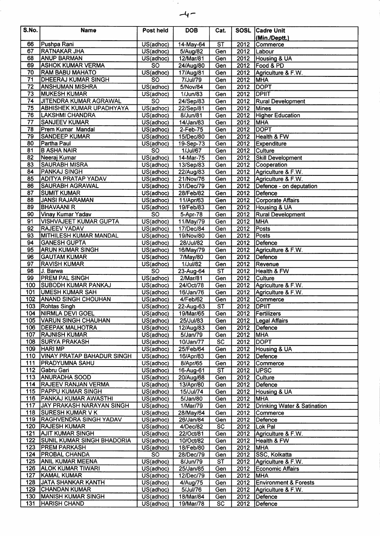| S.No.            | <b>Name</b>                                               | Post held               | <b>DOB</b>            | Cat.                   |                   | <b>SOSL Cadre Unit</b>                 |
|------------------|-----------------------------------------------------------|-------------------------|-----------------------|------------------------|-------------------|----------------------------------------|
|                  |                                                           |                         |                       |                        |                   | (Min./Deptt.)                          |
| 66               | Pushpa Rani                                               | US(adhoc)               | 14-May-64             | $\overline{\text{ST}}$ | 2012              | Commerce                               |
| 67               | <b>RATNAKAR JHA</b>                                       | US(adhoc)               | 5/Aug/82              | Gen                    |                   | 2012 Labour                            |
| 68               | ANUP BARMAN                                               | US(adhoc)               | 12/Mar/81             | Gen                    |                   | 2012   Housing & UA                    |
| 69               | <b>ASHOK KUMAR VERMA</b>                                  | <b>SO</b>               | 24/Aug/80             | Gen                    |                   | 2012   Food & PD                       |
| 70               | <b>RAM BABU MAHATO</b>                                    | US(adhoc)               | 17/Aug/81             | Gen                    |                   | 2012 Agriculture & F.W.                |
| $\overline{71}$  | <b>DHEERAJ KUMAR SINGH</b>                                | $\overline{SO}$         | 7/Jul/79              | Gen                    | 2012              | <b>MHA</b>                             |
| 72               | <b>ANSHUMAN MISHRA</b>                                    | US(adhoc)               | 5/Nov/84              | Gen                    | 2012              | <b>DOPT</b>                            |
| 73               | <b>MUKESH KUMAR</b>                                       | US(adhoc)               | 1/Jun/83              | Gen                    | 2012 <b>DPIIT</b> |                                        |
| 74<br>75         | <b>JITENDRA KUMAR AGRAWAL</b>                             | $\overline{SO}$         | 24/Sep/83             | Gen                    |                   | 2012 Rural Development                 |
| 76               | <b>ABHISHEK KUMAR UPADHYAYA</b><br><b>LAKSHMI CHANDRA</b> | US(adhoc)               | 22/Sep/81<br>8/Jun/81 | Gen                    | 2012              | Mines                                  |
| 77               | <b>SANJEEV KUMAR</b>                                      | US(adhoc)               |                       | Gen<br>Gen             | 2012<br>2012      | <b>Higher Education</b><br><b>MHA</b>  |
| 78               | Prem Kumar Mandal                                         | US(adhoc)<br>US(adhoc)  | 14/Jan/83<br>2-Feb-75 | Gen                    | 2012              | <b>DOPT</b>                            |
| 79               | <b>SANDEEP KUMAR</b>                                      | US(adhoc)               | 15/Dec/80             | Gen                    |                   | 2012 Health & FW                       |
| 80               | Partha Paul                                               | US(adhoc)               | 19-Sep-73             | Gen                    |                   | 2012 Expenditure                       |
| 81               | <b>B ASHA NAIR</b>                                        | $\overline{SO}$         | 1/Jul/67              | Gen                    |                   | 2012 Culture                           |
| 82               | Neeraj Kumar                                              | US(adhoc)               | 14-Mar-75             | Gen                    | 2012              | <b>Skill Development</b>               |
| 83               | <b>SAURABH MISRA</b>                                      | $\overline{US}$ (adhoc) | 13/Sep/83             | Gen                    |                   | 2012 Cooperation                       |
| 84               | <b>PANKAJ SINGH</b>                                       | US(adhoc)               | 22/Aug/83             | Gen                    | 2012              | Agriculture & F.W.                     |
| 85               | <b>ADITYA PRATAP YADAV</b>                                | US(adhoc)               | 21/Nov/76             | Gen                    | 2012              | Agriculture & F.W.                     |
| 86               | SAURABH AGRAWAL                                           | US(adhoc)               | 31/Dec/79             | Gen                    | 2012              | Defence - on deputation                |
| 87               | <b>SUMIT KUMAR</b>                                        | US(adhoc)               | 28/Feb/82             | Gen                    |                   | 2012 Defence                           |
| 88               | <b>JANSI RAJARAMAN</b>                                    | US(adhoc)               | 11/Apr/63             | Gen                    | 2012              | Corporate Affairs                      |
| 89               | <b>BHAVAANI R</b>                                         | US(adhoc)               | 19/Feb/83             | Gen                    | 2012              | Housing & UA                           |
| 90               | Vinay Kumar Yadav                                         | $\overline{SO}$         | 5-Apr-78              | Gen                    | 2012              | <b>Rural Development</b>               |
| 91               | <b>VISHVAJEET KUMAR GUPTA</b>                             | US(adhoc)               | 11/May/79             | Gen                    | 2012              | <b>MHA</b>                             |
| 92               | <b>RAJEEV YADAV</b>                                       | US(adhoc)               | 17/Dec/84             | Gen                    | 2012              | Posts                                  |
| 93               | <b>MITHILESH KUMAR MANDAL</b>                             | US(adhoc)               | 19/Nov/80             | Gen                    | 2012              | <b>Posts</b>                           |
| 94               | <b>GANESH GUPTA</b>                                       | US(adhoc)               | 28/Jul/82             | Gen                    |                   | 2012 Defence                           |
| 95               | <b>ARUN KUMAR SINGH</b>                                   | US(adhoc)               | 16/May/79             | Gen                    | 2012              | Agriculture & F.W.                     |
| 96               | <b>GAUTAM KUMAR</b>                                       | US(adhoc)               | 7/May/80              | Gen                    | 2012              | Defence                                |
| 97               | <b>RAVISH KUMAR</b>                                       | US(adhoc)               | 1/Jul/82              | Gen                    | 2012              | <b>Revenue</b>                         |
| 98               | J. Barwa                                                  | <b>SO</b>               | 23-Aug-64             | $\overline{\text{ST}}$ | 2012              | Health & FW                            |
| 99               | <b>PREM PAL SINGH</b>                                     | US(adhoc)               | 2/Mar/81              | Gen                    | 2012              | Culture                                |
| 100              | <b>SUBODH KUMAR PANKAJ</b>                                | US(adhoc)               | 24/Oct/78             | Gen                    |                   | 2012 Agriculture & F.W.                |
| 101              | <b>UMESH KUMAR SAH</b>                                    | US(adhoc)               | 16/Jan/76             | Gen                    |                   | 2012 Agriculture & F.W.                |
| 102              | <b>ANAND SINGH CHOUHAN</b>                                | US(adhoc)               | 4/Feb/62              | Gen                    | 2012              | Commerce                               |
| 103              | Rohtas Singh                                              | US(adhoc)               | 22-Aug-63             | $\overline{\text{ST}}$ | 2012              | <b>DPIIT</b>                           |
|                  | 104 NIRMLA DEVI GOEL                                      | US(adhoc)               | 19/Mar/65             | Gen                    |                   | 2012   Fertilizers                     |
| 105              | VARUN SINGH CHAUHAN                                       | US(adhoc)               | 25/Jul/83             | Gen                    |                   | 2012   Legal Affairs                   |
| 106              | <b>DEEPAK MALHOTRA</b>                                    | US(adhoc)               | 12/Aug/83             | Gen                    | 2012              | Defence                                |
| 107              | <b>RAJNISH KUMAR</b>                                      | US(adhoc)               | 5/Jan/79              | Gen                    | 2012              | <b>MHA</b>                             |
| 108              | <b>SURYA PRAKASH</b>                                      | US(adhoc)               | 10/Jan/77             | <b>SC</b>              | 2012              | <b>DOPT</b>                            |
| 109              | <b>HARI MP</b>                                            | US(adhoc)               | 25/Feb/64             | Gen                    | 2012              | Housing & UA                           |
| 110              | <b>VINAY PRATAP BAHADUR SINGH</b>                         | $\overline{US}$ (adhoc) | 16/Apr/83             | Gen                    | 2012              | Defence                                |
| 111              | <b>PRADYUMNA SAHU</b>                                     | US(adhoc)               | 8/Apr/65              | Gen                    | 2012              | Commerce                               |
| 112              | Gabru Gari                                                | US(adhoc)               | 16-Aug-61             | ST                     | 2012              | UPSC                                   |
| 113<br>114       | <b>ANURADHA SOOD</b><br><b>RAJEEV RANJAN VERMA</b>        | US(adhoc)               | 20/Aug/68             | Gen                    | 2012              | Culture                                |
| 115              | <b>PAPPU KUMAR SINGH</b>                                  | US(adhoc)               | 13/Apr/80             | Gen                    | 2012<br>2012      | Defence<br>Housing & UA                |
| 116              | PANKAJ KUMAR AWASTHI                                      | US(adhoc)<br>US(adhoc)  | 15/Jul/74<br>5/Jan/80 | Gen<br>Gen             | 2012              | <b>MHA</b>                             |
| 117              | <b>JAY PRAKASH NARAYAN SINGH</b>                          | US(adhoc)               | 1/Mar/79              | Gen                    | 2012              | <b>Drinking Water &amp; Satination</b> |
| 118              | SURESH KUMAR V K                                          | US(adhoc)               | 28/May/64             | Gen                    | 2012              | Commerce                               |
| 119              | <b>RAGHVENDRA SINGH YADAV</b>                             | US(adhoc)               | 26/Jan/84             | Gen                    | 2012              | Defence                                |
| 120              | <b>RAJESH KUMAR</b>                                       | US(adhoc)               | 4/Dec/82              | <b>SC</b>              | 2012              | Lok Pal                                |
| $\overline{121}$ | <b>AJIT KUMAR SINGH</b>                                   | US(adhoc)               | 22/Oct/81             | Gen                    | 2012              | Agriculture & F.W.                     |
| 122              | <b>SUNIL KUMAR SINGH BHADORIA</b>                         | US(adhoc)               | 10/Oct/82             | Gen                    | 2012              | Health & FW                            |
| 123              | <b>PREM PARKASH</b>                                       | US(adhoc)               | 18/Feb/80             | Gen                    | 2012              | MHA                                    |
| 124              | <b>PROBAL CHANDA</b>                                      | $\overline{SO}$         | 28/Dec/79             | Gen                    | 2012              | SSC, Kolkatta                          |
| 125              | <b>ANIL KUMAR MEENA</b>                                   | US(adhoc)               | 8/Jun/79              | ST                     | 2012              | Agriculture & F.W.                     |
| 126              | <b>ALOK KUMAR TIWARI</b>                                  | US(adhoc)               | 25/Jan/85             | Gen                    | 2012              | Economic Affairs                       |
| 127              | KAMAL KUMAR                                               | US(adhoc)               | 12/Dec/79             | Gen                    | 2012              | <b>MHA</b>                             |
| 128              | JATA SHANKAR KANTH                                        | US(adhoc)               | 4/Aug/75              | Gen                    | 2012              | <b>Environment &amp; Forests</b>       |
| 129              | <b>CHANDAN KUMAR</b>                                      | US(adhoc)               | 5/Jul/76              | Gen                    | 2012              | Agriculture & F.W.                     |
| 130              | <b>MANISH KUMAR SINGH</b>                                 | US(adhoc)               | 18/Mar/84             | Gen                    | 2012              | Defence                                |
| 131              | <b>HARISH CHAND</b>                                       | US(adhoc)               | 19/Mar/78             | <b>SC</b>              | 2012              | Defence                                |

 $-4-$ 

 $\mathcal{L}_{\mathcal{A}}$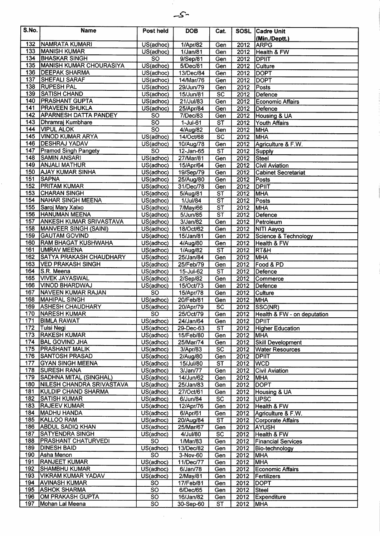

| S.No.            | <b>Name</b>                                         | Post held                            | <b>DOB</b>             | Cat.                            |              | SOSL Cadre Unit                      |
|------------------|-----------------------------------------------------|--------------------------------------|------------------------|---------------------------------|--------------|--------------------------------------|
|                  |                                                     |                                      |                        |                                 |              | (Min./Deptt.)                        |
| 132              | NAMRATA KUMARI                                      | US(adhoc)                            | 1/Apr/82               | Gen                             | 2012         | <b>ARPG</b>                          |
| 133              | <b>MANISH KUMAR</b>                                 | US(adhoc)                            | 1/Jan/81               | Gen                             | 2012         | Health & FW                          |
| 134              | <b>BHASKAR SINGH</b>                                | <b>SO</b>                            | 9/Sep/81               | Gen                             | 2012         | <b>DPIIT</b>                         |
| 135              | <b>MANISH KUMAR CHOURASIYA</b>                      | US(adhoc)                            | 5/Dec/81               | Gen                             | 2012         | <b>Culture</b>                       |
| 136              | <b>DEEPAK SHARMA</b>                                | US(adhoc)                            | 13/Dec/84              | Gen                             | 2012         | <b>DOPT</b>                          |
| 137              | <b>SHEFALI SARAF</b>                                | US(adhoc)                            | 14/Mar/76              | Gen                             | 2012         | <b>DOPT</b>                          |
| 138<br>139       | <b>RUPESH PAL</b><br><b>SATISH CHAND</b>            | US(adhoc)                            | 29/Jun/79              | Gen                             | 2012         | Posts                                |
| 140              | <b>PRASHANT GUPTA</b>                               | US(adhoc)                            | 15/Jun/81              | $\overline{SC}$                 | 2012         | Defence                              |
| 141              | <b>PRAVEEN SHUKLA</b>                               | US(adhoc)<br>US(adhoc)               | 21/Jul/83<br>25/Apr/84 | Gen<br>Gen                      | 2012<br>2012 | Economic Affairs<br>Defence          |
| 142              | <b>APARNESH DATTA PANDEY</b>                        | <b>SO</b>                            | 7/Dec/83               | Gen                             | 2012         | Housing & UA                         |
| 143              | Dhramraj Kumbhare                                   | $\overline{SO}$                      | $1-Jul-61$             | $\overline{\text{ST}}$          | 2012         | <b>Youth Affairs</b>                 |
| 144              | <b>VIPUL ALOK</b>                                   | $\overline{SO}$                      | 4/Aug/82               | Gen                             | 2012         | <b>MHA</b>                           |
| 145              | <b>VINOD KUMAR ARYA</b>                             | US(adhoc)                            | 14/Oct/68              | $\overline{SC}$                 | 2012         | MHA                                  |
| 146              | <b>DESHRAJ YADAV</b>                                | US(adhoc)                            | 10/Aug/78              | Gen                             | 2012         | Agriculture & F.W.                   |
| 147              | <b>Pramod Singh Pangety</b>                         | <b>SO</b>                            | 12-Jan-65              | ST                              | 2012         | Supply                               |
| 148              | <b>SAMIN ANSARI</b>                                 | US(adhoc)                            | 27/Mar/81              | Gen                             | 2012         | Steel                                |
| 149              | <b>ANJALI MATHUR</b>                                | US(adhoc)                            | 15/Apr/64              | Gen                             | 2012         | <b>Civil Aviation</b>                |
| 150              | <b>AJAY KUMAR SINHA</b>                             | US(adhoc)                            | 19/Sep/79              | Gen                             | 2012         | <b>Cabinet Secretariat</b>           |
| 151<br>152       | <b>SAPNA</b><br><b>PRITAM KUMAR</b>                 | US(adhoc)                            | 25/Aug/80              | Gen                             | 2012         | <b>Posts</b>                         |
| 153              | <b>CHARAN SINGH</b>                                 | US(adhoc)<br>US(adhoc)               | 31/Dec/78              | Gen<br>$\overline{\mathsf{ST}}$ | 2012<br>2012 | <b>DPIIT</b><br>MHA                  |
| 154              | NAHAR SINGH MEENA                                   | US(adhoc)                            | 5/Aug/81<br>1/Jul/84   | $\overline{\text{ST}}$          | 2012         | Posts                                |
| 155              | Saroj Mary Xalxo                                    | US(adhoc)                            | 7/May/66               | $\overline{\text{ST}}$          | 2012         | MHA                                  |
| 156              | <b>HANUMAN MEENA</b>                                | US(adhoc)                            | 5/Jun/85               | $\overline{\text{ST}}$          | 2012         | Defence                              |
| 157              | <b>ANKESH KUMAR SRIVASTAVA</b>                      | US(adhoc)                            | 3/Jan/82               | Gen                             | 2012         | Petroleum                            |
| 158              | <b>MANVEER SINGH (SAINI)</b>                        | $\overline{US}$ (adhoc)              | 18/Oct/62              | Gen                             | 2012         | <b>NITI Aayog</b>                    |
| 159              | <b>GAUTAM GOVIND</b>                                | US(adhoc)                            | 15/Jan/81              | Gen                             | 2012         | Science & Technology                 |
| 160              | <b>RAM BHAGAT KUSHWAHA</b>                          | US(adhoc)                            | 4/Aug/80               | Gen                             | 2012         | Health & FW                          |
| 161              | <b>UMRAV MEENA</b>                                  | US(adhoc)                            | 1/Aug/82               | $\overline{\text{ST}}$          | 2012         | RT&H                                 |
| 162              | <b>SATYA PRAKASH CHAUDHARY</b>                      | US(adhoc)                            | 25/Jan/84              | Gen                             | 2012         | <b>MHA</b>                           |
| 163              | <b>VED PRAKASH SINGH</b>                            | US(adhoc)                            | 25/Feb/79              | Gen                             | 2012         | Food & PD                            |
| 164              | S.R. Meena                                          | US(adhoc)                            | 15-Jul-62              | $\overline{\mathsf{ST}}$        | 2012         | Defence                              |
| 165              | <b>VIVEK JAYASWAL</b>                               | $\overline{US}$ (adhoc)              | 2/Sep/82               | Gen                             | 2012         | Commerce                             |
| 166<br>167       | VINOD BHARDWAJ<br>NAVEEN KUMAR RAJAN                | $\overline{US}$ (adhoc)<br><b>SO</b> | 15/Oct/73              | Gen<br>Gen                      | 2012<br>2012 | Defence                              |
| 168              | MAHIPAL SINGH                                       | US(adhoc)                            | 15/Apr/78<br>20/Feb/81 | Gen                             | 2012         | Culture<br>MHA                       |
| 169              | <b>ASHESH CHAUDHARY</b>                             | US(adhoc)                            | 20/Apr/79              | $\overline{SC}$                 | 2012         | SSC(NR)                              |
| 170              | NARESH KUMAR                                        | $\overline{SO}$                      | 25/Oct/79              | Gen                             | 2012         | Health & FW - on deputation          |
| 171              | <b>BIMLA RAWAT</b>                                  | $\overline{US}$ (adhoc)              | 24/Jan/64              | Gen                             | 2012         | <b>DPIIT</b>                         |
| 172              | Tulsi Negi                                          | $\overline{US}$ (adhoc)              | 29-Dec-63              | <b>ST</b>                       | 2012         | <b>Higher Education</b>              |
| $\overline{173}$ | <b>RAKESH KUMAR</b>                                 | US(adhoc)                            | 15/Feb/80              | Gen                             | 2012         | <b>MHA</b>                           |
| 174              | <b>BAL GOVIND JHA</b>                               | US(adhoc)                            | 25/Mar/74              | Gen                             | 2012         | <b>Skill Development</b>             |
| 175              | <b>PRASHANT MALIK</b>                               | US(adhoc)                            | 3/Apr/83               | <b>SC</b>                       | 2012         | <b>Water Resources</b>               |
| 176              | <b>SANTOSH PRASAD</b>                               | US(adhoc)                            | 2/Aug/80               | Gen                             | 2012         | <b>DPIIT</b>                         |
| 177<br>178       | <b>GYAN SINGH MEENA</b>                             | US(adhoc)                            | 15/Jul/80              | <b>ST</b>                       | 2012         | <b>IWCD</b>                          |
| 179              | <b>SURESH RANA</b><br><b>SADHNA MITAL (SINGHAL)</b> | US(adhoc)<br>US(adhoc)               | 3/Jan/77<br>14/Jun/62  | Gen<br>Gen                      | 2012<br>2012 | <b>Civil Aviation</b><br><b>IMHA</b> |
| 180              | NILESH CHANDRA SRIVASTAVA                           | US(adhoc)                            | 25/Jan/83              | Gen                             | 2012         | <b>DOPT</b>                          |
| 181              | <b>KULDIP CHAND SHARMA</b>                          | US(adhoc)                            | 27/Oct/61              | $\overline{Gen}$                | 2012         | Housing & UA                         |
| 182              | <b>SATISH KUMAR</b>                                 | US(adhoc)                            | 6/Jun/84               | <b>SC</b>                       | 2012         | <b> UPSC</b>                         |
| 183              | <b>RAJEEV KUMAR</b>                                 | US(adhoc)                            | 12/Apr/76              | Gen                             | 2012         | Health & FW                          |
| 184              | <b>MADHU HANDA</b>                                  | US(adhoc)                            | 6/Apr/61               | Gen                             | 2012         | Agriculture & F.W.                   |
| 185              | KALLOO RAM                                          | US(adhoc)                            | 20/Aug/84              | $\overline{\mathsf{ST}}$        | 2012         | Corporate Affairs                    |
| 186              | <b>ABDUL SADIQ KHAN</b>                             | US(adhoc)                            | 25/Mar/67              | Gen                             | 2012         | <b>AYUSH</b>                         |
| 187              | <b>SATYENDRA SINGH</b>                              | US(adhoc)                            | 4/Jul/80               | SC                              | 2012         | Health & FW                          |
| 188              | <b>PRASHANT CHATURVEDI</b>                          | <b>SO</b>                            | 1/Mar/83               | Gen                             | 2012         | <b>Financial Services</b>            |
| 189<br>190       | <b>DINESH BAID</b>                                  | US(adhoc)<br>$\overline{SO}$         | 13/Dec/82              | Gen                             | 2012         | Bio-technology                       |
| 191              | Asha Menon<br><b>RANJEET KUMAR</b>                  | $\overline{US(adhoc)}$               | 3-Nov-60<br>11/Dec/77  | Gen<br>Gen                      | 2012<br>2012 | <b>MHA</b><br>MHA <sup>®</sup>       |
| 192              | <b>SHAMBHU KUMAR</b>                                | US(adhoc)                            | 6/Jan/78               | Gen                             | 2012         | Economic Affairs                     |
| 193              | <b>VIKRAM KUMAR YADAV</b>                           | US(adhoc)                            | 2/May/81               | Gen                             | 2012         | Fertilizers                          |
| 194              | <b>AVINASH KUMAR</b>                                | <b>SO</b>                            | 17/Feb/81              | Gen                             | 2012         | <b>DOPT</b>                          |
|                  | 195 ASHOK SHARMA                                    | $\overline{SO}$                      | 6/Dec/65               | Gen                             | 2012         | Steel                                |
| 196              | OM PRAKASH GUPTA                                    | <b>SO</b>                            | 16/Jan/82              | Gen                             | 2012         | <b>Expenditure</b>                   |
| 197              | Mohan Lal Meena                                     | SO                                   | 30-Sep-60              | <b>ST</b>                       | 2012         | <b>IMHA</b>                          |

 $\mathcal{F}^{\text{max}}_{\text{max}}$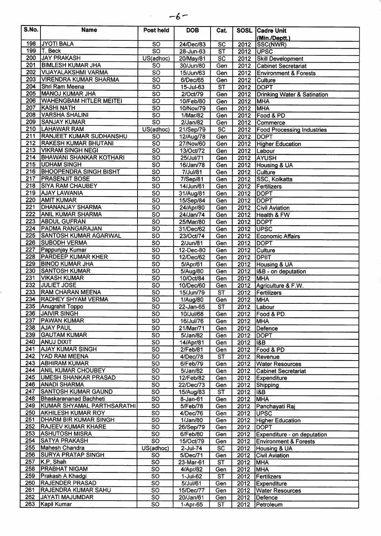| . .<br>ı<br>v<br>× |  |
|--------------------|--|
|--------------------|--|

 $\sim$   $\sim$ 

| S.No.            | <b>Name</b>                    | Post held              | <b>DOB</b>     | Cat.                     |                   | SOSL Cadre Unit                   |
|------------------|--------------------------------|------------------------|----------------|--------------------------|-------------------|-----------------------------------|
| 198              | <b>JYOTI BALA</b>              | SO                     | 24/Dec/83      |                          |                   | (Min./Deptt.)                     |
| 199              | T. Beck                        | $\overline{\text{SO}}$ |                | $\overline{SC}$          | 2012              | SSC(NWR)                          |
| 200              | <b>JAY PRAKASH</b>             |                        | 28-Jun-63      | $\overline{\text{ST}}$   | 2012              | <b>IUPSC</b>                      |
| 201              | <b>BIMLESH KUMAR JHA</b>       | US(adhoc)              | 20/May/81      | $\overline{SC}$          | 2012              | <b>Skill Development</b>          |
| 202              |                                | SO                     | 30/Jun/80      | Gen                      | 2012              | <b>Cabinet Secretariat</b>        |
| 203              | VIJAYALAKSHMI VARMA            | $\overline{SO}$        | 15/Jun/63      | Gen                      | 2012              | <b>Environment &amp; Forests</b>  |
|                  | <b>VIRENDRA KUMAR SHARMA</b>   | $\overline{\text{SO}}$ | 6/Dec/65       | Gen                      | 2012              | <b>Culture</b>                    |
| 204              | Shri Ram Meena                 | $\overline{SO}$        | 15-Jul-63      | $\overline{\text{ST}}$   | 2012              | <b>IDOPT</b>                      |
| 205              | MANOJ KUMAR JHA                | $\overline{SO}$        | 2/Oct/79       | Gen                      |                   | 2012 Drinking Water & Satination  |
| 206              | <b>WAHENGBAM HITLER MEITEI</b> | $\overline{\text{so}}$ | 10/Feb/80      | Gen                      | 2012              | <b>MHA</b>                        |
| 207              | KASHI NATH                     | $\overline{SO}$        | 10/Nov/79      | Gen                      | 2012              | <b>MHA</b>                        |
| 208              | <b>VARSHA SHALINI</b>          | $\overline{SO}$        | 1/Mar/82       | Gen                      | 2012              | Food & PD                         |
| 209              | <b>SANJAY KUMAR</b>            | $\overline{SO}$        | 2/Jan/82       | Gen                      | 2012              | Commerce                          |
| 210              | <b>LAHAWAR RAM</b>             | US(adhoc)              | 21/Sep/79      | $\overline{SC}$          | 2012              | <b>Food Processing Industries</b> |
| 211              | <b>RANJEET KUMAR SUDHANSHU</b> | <b>SO</b>              | 12/Aug/78      | Gen                      | 2012              | <b>DOPT</b>                       |
| 212              | <b>RAKESH KUMAR BHUTANI</b>    | $\overline{SO}$        | 27/Nov/60      | Gen                      | 2012              | <b>Higher Education</b>           |
| 213              | <b>VIKRAM SINGH NEGI</b>       | $\overline{SO}$        | 13/Oct/72      | Gen                      | 2012              | Labour                            |
| 214              | <b>BHAWANI SHANKAR KOTHARI</b> | $\overline{SO}$        | 25/Jul/71      | Gen                      | 2012              | AYUSH                             |
|                  | 215 UDHAM SINGH                | $\overline{SO}$        | 16/Jan/78      | Gen                      | 2012              | Housing & UA                      |
| 216              | <b>BHOOPENDRA SINGH BISHT</b>  | $\overline{\text{SO}}$ | 7/Jul/81       | Gen                      | 2012              | Culture                           |
| 217              | <b>PRASENJIT BOSE</b>          | $\overline{SO}$        | $7/$ Sep $/81$ | Gen                      | 2012              | <b>SSC, Kolkatta</b>              |
| 218              | <b>SIYA RAM CHAUBEY</b>        | $\overline{SO}$        | 14/Jun/61      | Gen                      | 2012              | Fertilizers                       |
| 219              | <b>AJAY LAWANIA</b>            | $\overline{\text{SO}}$ | 31/Aug/81      | Gen                      | 2012              | <b>DOPT</b>                       |
| 220              | <b>AMIT KUMAR</b>              | $\overline{SO}$        | 15/Sep/84      | Gen                      | 2012              | <b>DOPT</b>                       |
| 221              | <b>DHANANJAY SHARMA</b>        | $\overline{\text{SO}}$ | 24/Apr/80      | Gen                      | 2012              | <b>Civil Aviation</b>             |
| $\overline{222}$ | <b>ANIL KUMAR SHARMA</b>       | $\overline{SO}$        | 24/Jan/74      | Gen                      | 2012              | Health & FW                       |
| 223              | <b>ABDUL GUFRAN</b>            | $\overline{SO}$        | 25/Mar/80      | $\overline{Gen}$         | 2012              | <b>DOPT</b>                       |
| 224              | <b>PADMA RANGARAJAN</b>        | $\overline{\text{SO}}$ | 31/Dec/62      | Gen                      | 2012              | <b>UPSC</b>                       |
| 225              | <b>SANTOSH KUMAR AGARWAL</b>   | $\overline{\text{SO}}$ | 23/Oct/74      | Gen                      | 2012              | Economic Affairs                  |
| 226              | <b>SUBODH VERMA</b>            | $\overline{\text{SO}}$ | 2/Jun/81       | Gen                      | 2012              | <b>DOPT</b>                       |
| 227              | Pappunjay Kumar                | $\overline{SO}$        | 12-Dec-80      | Gen                      | 2012              | Culture                           |
| 228              | <b>PARDEEP KUMAR KHER</b>      | $\overline{SO}$        | 12/Dec/62      | Gen                      | 2012              | <b>DPIIT</b>                      |
| 229              | <b>BINOD KUMAR JHA</b>         | $\overline{\text{SO}}$ | 5/Apr/61       | Gen                      | 2012              | Housing & UA                      |
| 230              | <b>SANTOSH KUMAR</b>           | $\overline{\text{so}}$ | 5/Aug/80       | Gen                      | 2012              | 18B - on deputation               |
| 231              | <b>VIKASH KUMAR</b>            | $\overline{SO}$        | 10/Oct/84      | Gen                      | $\overline{2012}$ | <b>MHA</b>                        |
| 232              | <b>JULIET JOSE</b>             | <b>SO</b>              | 10/Dec/60      | Gen                      | 2012              | Agriculture & F.W.                |
| 233              | <b>RAM CHARAN MEENA</b>        | $\overline{SO}$        | 15/Jun/79      | $\overline{\mathsf{ST}}$ | 2012              | Fertilizers                       |
| 234              | <b>RADHEY SHYAM VERMA</b>      | $\overline{SO}$        | 1/Aug/80       | Gen                      | 2012              | <b>MHA</b>                        |
|                  | 235 Anugrahit Toppo            | $\overline{SO}$        | 22-Jan-65      | $\overline{\text{ST}}$   | 2012              | <b>ILabour</b>                    |
|                  | 236 JAIVIR SINGH               | <b>SO</b>              | 10/Jul/68      | Gen                      |                   | 2012   Food & PD                  |
| 237              | <b> PAWAN KUMAR</b>            | $\overline{SO}$        | 16/Jul/76      | Gen                      | 2012              | <b>MHA</b>                        |
| 238              | <b>AJAY PAUL</b>               | <b>SO</b>              | 21/Mar/71      | Gen                      | 2012              | Defence                           |
| 239              | GAUTAM KUMAR                   | $\overline{SO}$        | 5/Jan/82       | Gen                      | 2012              | <b>DOPT</b>                       |
| 240              | <b>ANUJ DIXIT</b>              | $\overline{SO}$        | 14/Apr/81      | Gen                      | 2012              | 18B                               |
| 241              | <b>AJAY KUMAR SINGH</b>        | $\overline{SO}$        | 2/Feb/81       | Gen                      | 2012              | Food & PD                         |
| 242              | YAD RAM MEENA                  | $\overline{SO}$        | 4/Dec/78       | <b>ST</b>                | 2012              | Revenue                           |
| 243              | <b>ABHIRAM KUMAR</b>           | <b>SO</b>              | 6/Feb/79       | Gen                      | 2012              | <b>Water Resources</b>            |
| 244              | <b>ANIL KUMAR CHOUBEY</b>      | $\overline{SO}$        | 5/Jan/82       | Gen                      | 2012              | <b>Cabinet Secretariat</b>        |
| 245              | <b>UMESH SHANKAR PRASAD</b>    | <b>SO</b>              | 12/Feb/82      | Gen                      | 2012              | <b>Expenditure</b>                |
| 246              | <b>ANADI SHARMA</b>            | $\overline{SO}$        | 22/Dec/73      | Gen                      | 2012              | Shipping                          |
| 247              | <b>SANTOSH KUMAR GAUND</b>     | $\overline{SO}$        | 15/Aug/83      | <b>ST</b>                | 2012              | 18B                               |
| 248              | <b>Bhaskarananad Bachheti</b>  | $\overline{SO}$        | 8-Jan-61       | Gen                      | 2012              | <b>MHA</b>                        |
|                  | 249 KUMAR SHYAMAL PARTHSARATHI | $\overline{SO}$        | 5/Feb/78       | Gen                      | 2012              | Panchayati Raj                    |
| 250              | <b>AKHILESH KUMAR ROY</b>      | <b>SO</b>              | 4/Dec/76       | Gen                      | 2012              | <b>UPSC</b>                       |
| 251              | DHARM BIR KUMAR SINGH          | $\overline{SO}$        | 1/Jan/80       | Gen                      | 2012              | <b>Higher Education</b>           |
| 252              | <b>RAJEEV KUMAR KHARE</b>      | <b>SO</b>              | 26/Sep/79      | Gen                      | 2012              | <b>DOPT</b>                       |
| 253              | <b>ASHUTOSH MISRA</b>          | $\overline{SO}$        | 6/Feb/80       | Gen                      | 2012              | Expenditure - on deputation       |
| 254              | <b>SATYA PRAKASH</b>           | $\overline{SO}$        | 15/Oct/79      | Gen                      | 2012              | <b>Environment &amp; Forests</b>  |
| 255              | Mahesh Chandra                 | US(adhoc)              | $2$ -Jul-74    | $\overline{SC}$          | 2012              | Housing & UA                      |
| 256              | <b>SURYA PRATAP SINGH</b>      | <b>SO</b>              | 5/Dec/71       | Gen                      | 2012              | <b>Civil Aviation</b>             |
| 257              | K.P. Shah                      | $\overline{SO}$        | 23-Mar-61      | $\overline{\text{ST}}$   | 2012              | <b>MHA</b>                        |
| 258              | <b>PRABHAT NIGAM</b>           | SO                     | 4/Apr/82       | Gen                      | 2012              | <b>MHA</b>                        |
| 259              | Prakash A Khadgi               | $\overline{SO}$        | 1-Jul-62       | ST                       | 2012              | Fertilizers                       |
| 260              | <b>RAJENDER PRASAD</b>         | $\overline{SO}$        | 5/Jul/61       | Gen                      | 2012              | Expenditure                       |
| 261              | <b>RAJENDRA KUMAR SAHU</b>     | SO                     | 15/Dec/77      | Gen                      | 2012              | <b>Water Resources</b>            |
| 262              | JAYATI MAJUMDAR                | <b>SO</b>              | 20/Jan/61      | Gen                      | 2012              | Defence                           |
|                  | 263 Kapil Kumar                | $\overline{SO}$        | 1-Apr-65       | ST                       |                   | 2012 Petroleum                    |